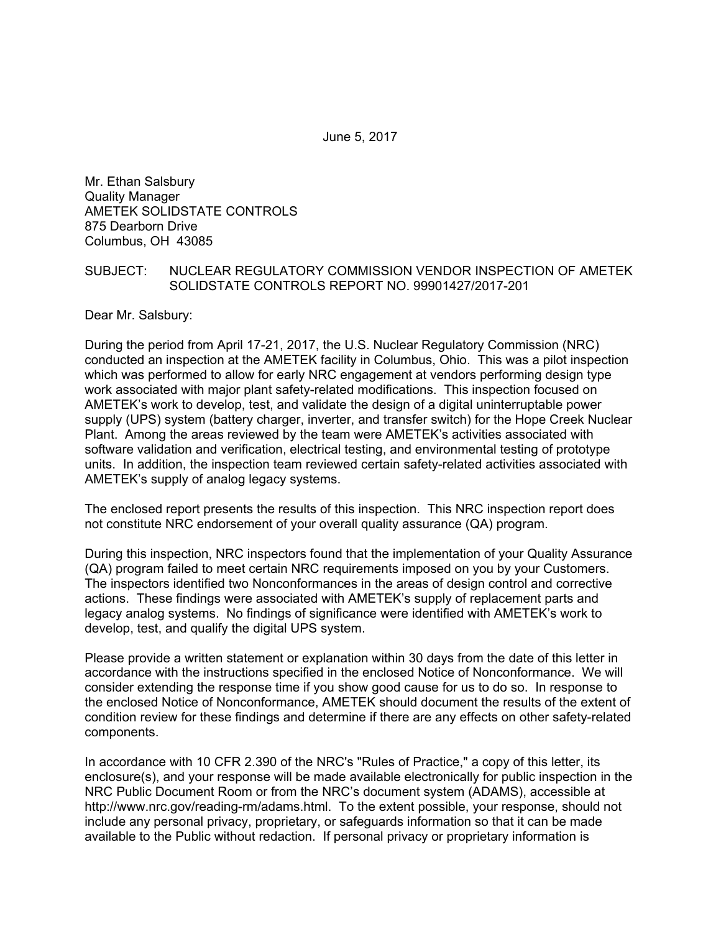June 5, 2017

Mr. Ethan Salsbury Quality Manager AMETEK SOLIDSTATE CONTROLS 875 Dearborn Drive Columbus, OH 43085

#### SUBJECT: NUCLEAR REGULATORY COMMISSION VENDOR INSPECTION OF AMETEK SOLIDSTATE CONTROLS REPORT NO. 99901427/2017-201

Dear Mr. Salsbury:

During the period from April 17-21, 2017, the U.S. Nuclear Regulatory Commission (NRC) conducted an inspection at the AMETEK facility in Columbus, Ohio. This was a pilot inspection which was performed to allow for early NRC engagement at vendors performing design type work associated with major plant safety-related modifications. This inspection focused on AMETEK's work to develop, test, and validate the design of a digital uninterruptable power supply (UPS) system (battery charger, inverter, and transfer switch) for the Hope Creek Nuclear Plant. Among the areas reviewed by the team were AMETEK's activities associated with software validation and verification, electrical testing, and environmental testing of prototype units. In addition, the inspection team reviewed certain safety-related activities associated with AMETEK's supply of analog legacy systems.

The enclosed report presents the results of this inspection. This NRC inspection report does not constitute NRC endorsement of your overall quality assurance (QA) program.

During this inspection, NRC inspectors found that the implementation of your Quality Assurance (QA) program failed to meet certain NRC requirements imposed on you by your Customers. The inspectors identified two Nonconformances in the areas of design control and corrective actions. These findings were associated with AMETEK's supply of replacement parts and legacy analog systems. No findings of significance were identified with AMETEK's work to develop, test, and qualify the digital UPS system.

Please provide a written statement or explanation within 30 days from the date of this letter in accordance with the instructions specified in the enclosed Notice of Nonconformance. We will consider extending the response time if you show good cause for us to do so. In response to the enclosed Notice of Nonconformance, AMETEK should document the results of the extent of condition review for these findings and determine if there are any effects on other safety-related components.

In accordance with 10 CFR 2.390 of the NRC's "Rules of Practice," a copy of this letter, its enclosure(s), and your response will be made available electronically for public inspection in the NRC Public Document Room or from the NRC's document system (ADAMS), accessible at http://www.nrc.gov/reading-rm/adams.html. To the extent possible, your response, should not include any personal privacy, proprietary, or safeguards information so that it can be made available to the Public without redaction. If personal privacy or proprietary information is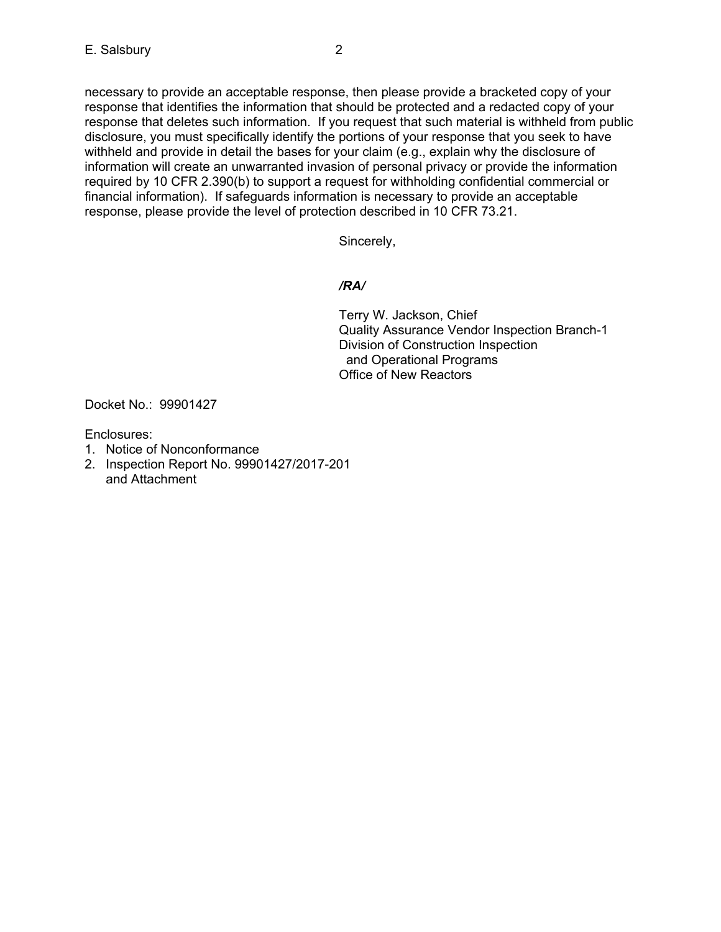necessary to provide an acceptable response, then please provide a bracketed copy of your response that identifies the information that should be protected and a redacted copy of your response that deletes such information. If you request that such material is withheld from public disclosure, you must specifically identify the portions of your response that you seek to have withheld and provide in detail the bases for your claim (e.g., explain why the disclosure of information will create an unwarranted invasion of personal privacy or provide the information required by 10 CFR 2.390(b) to support a request for withholding confidential commercial or financial information). If safeguards information is necessary to provide an acceptable response, please provide the level of protection described in 10 CFR 73.21.

Sincerely,

## */RA/*

Terry W. Jackson, Chief Quality Assurance Vendor Inspection Branch-1 Division of Construction Inspection and Operational Programs Office of New Reactors

Docket No.: 99901427

Enclosures:

- 1. Notice of Nonconformance
- 2. Inspection Report No. 99901427/2017-201 and Attachment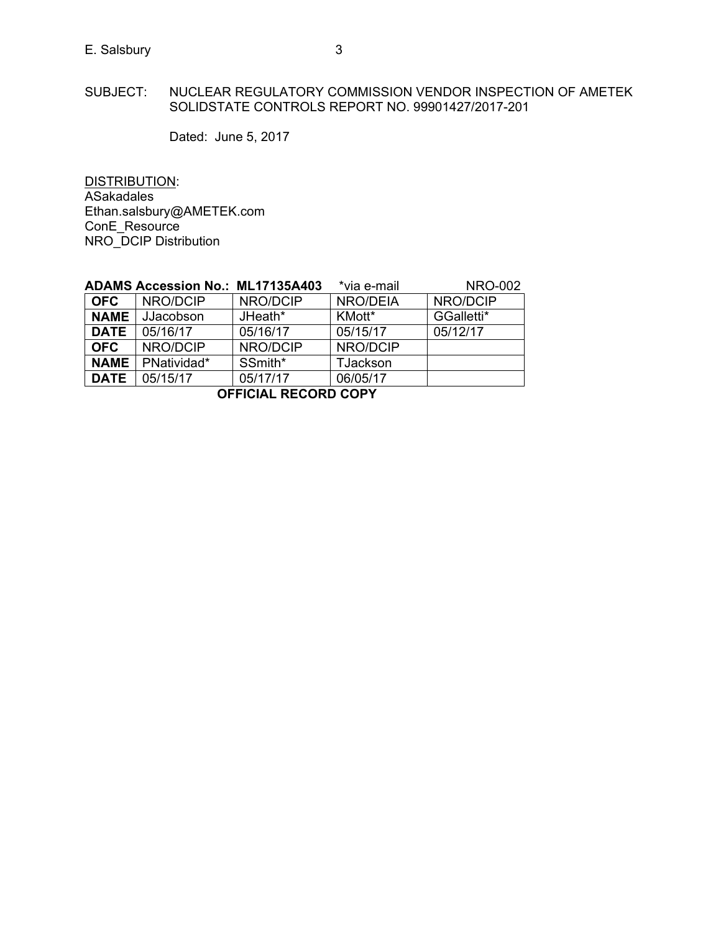#### SUBJECT: NUCLEAR REGULATORY COMMISSION VENDOR INSPECTION OF AMETEK SOLIDSTATE CONTROLS REPORT NO. 99901427/2017-201

Dated: June 5, 2017

DISTRIBUTION: ASakadales Ethan.salsbury@AMETEK.com ConE\_Resource NRO\_DCIP Distribution

|                      | <b>ADAMS Accession No.: ML17135A403</b> |          | *via e-mail     | <b>NRO-002</b> |  |
|----------------------|-----------------------------------------|----------|-----------------|----------------|--|
| <b>OFC</b>           | NRO/DCIP                                | NRO/DCIP | NRO/DEIA        | NRO/DCIP       |  |
| <b>NAME</b>          | JJacobson                               | JHeath*  | KMott*          | GGalletti*     |  |
| <b>DATE</b>          | 05/16/17                                | 05/16/17 | 05/15/17        | 05/12/17       |  |
| <b>OFC</b>           | NRO/DCIP                                | NRO/DCIP | NRO/DCIP        |                |  |
| <b>NAME</b>          | PNatividad*                             | SSmith*  | <b>TJackson</b> |                |  |
| <b>DATE</b>          | 05/15/17                                | 05/17/17 | 06/05/17        |                |  |
| OCCICIAL DECODD CODV |                                         |          |                 |                |  |

**OFFICIAL RECORD COPY**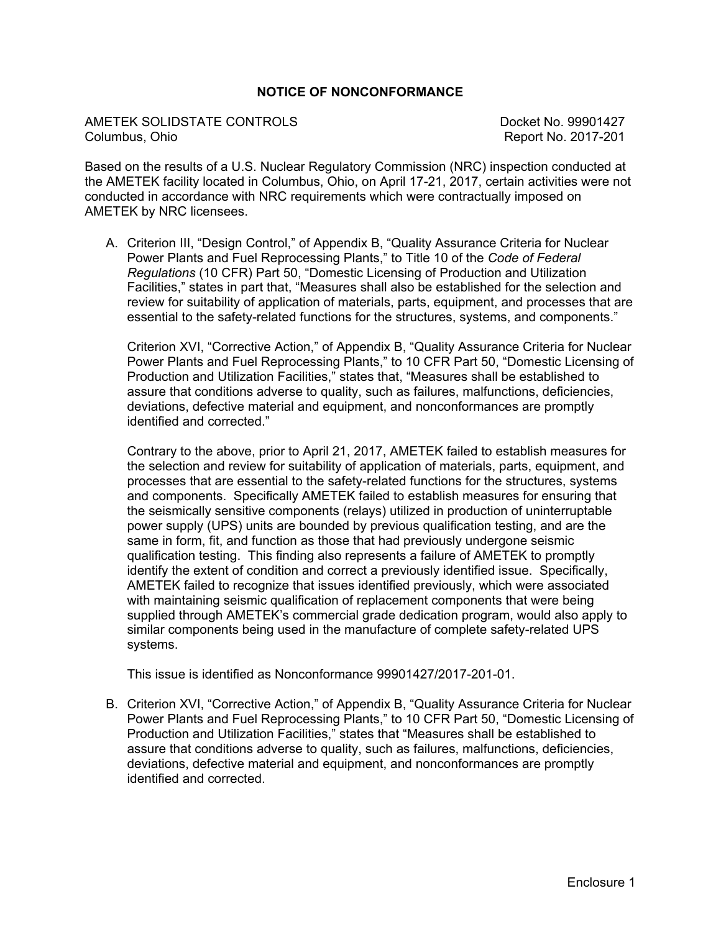## **NOTICE OF NONCONFORMANCE**

AMETEK SOLIDSTATE CONTROLS Docket No. 99901427 Columbus, Ohio Report No. 2017-201

Based on the results of a U.S. Nuclear Regulatory Commission (NRC) inspection conducted at the AMETEK facility located in Columbus, Ohio, on April 17-21, 2017, certain activities were not conducted in accordance with NRC requirements which were contractually imposed on AMETEK by NRC licensees.

A. Criterion III, "Design Control," of Appendix B, "Quality Assurance Criteria for Nuclear Power Plants and Fuel Reprocessing Plants," to Title 10 of the *Code of Federal Regulations* (10 CFR) Part 50, "Domestic Licensing of Production and Utilization Facilities," states in part that, "Measures shall also be established for the selection and review for suitability of application of materials, parts, equipment, and processes that are essential to the safety-related functions for the structures, systems, and components."

Criterion XVI, "Corrective Action," of Appendix B, "Quality Assurance Criteria for Nuclear Power Plants and Fuel Reprocessing Plants," to 10 CFR Part 50, "Domestic Licensing of Production and Utilization Facilities," states that, "Measures shall be established to assure that conditions adverse to quality, such as failures, malfunctions, deficiencies, deviations, defective material and equipment, and nonconformances are promptly identified and corrected."

Contrary to the above, prior to April 21, 2017, AMETEK failed to establish measures for the selection and review for suitability of application of materials, parts, equipment, and processes that are essential to the safety-related functions for the structures, systems and components. Specifically AMETEK failed to establish measures for ensuring that the seismically sensitive components (relays) utilized in production of uninterruptable power supply (UPS) units are bounded by previous qualification testing, and are the same in form, fit, and function as those that had previously undergone seismic qualification testing. This finding also represents a failure of AMETEK to promptly identify the extent of condition and correct a previously identified issue. Specifically, AMETEK failed to recognize that issues identified previously, which were associated with maintaining seismic qualification of replacement components that were being supplied through AMETEK's commercial grade dedication program, would also apply to similar components being used in the manufacture of complete safety-related UPS systems.

This issue is identified as Nonconformance 99901427/2017-201-01.

B. Criterion XVI, "Corrective Action," of Appendix B, "Quality Assurance Criteria for Nuclear Power Plants and Fuel Reprocessing Plants," to 10 CFR Part 50, "Domestic Licensing of Production and Utilization Facilities," states that "Measures shall be established to assure that conditions adverse to quality, such as failures, malfunctions, deficiencies, deviations, defective material and equipment, and nonconformances are promptly identified and corrected.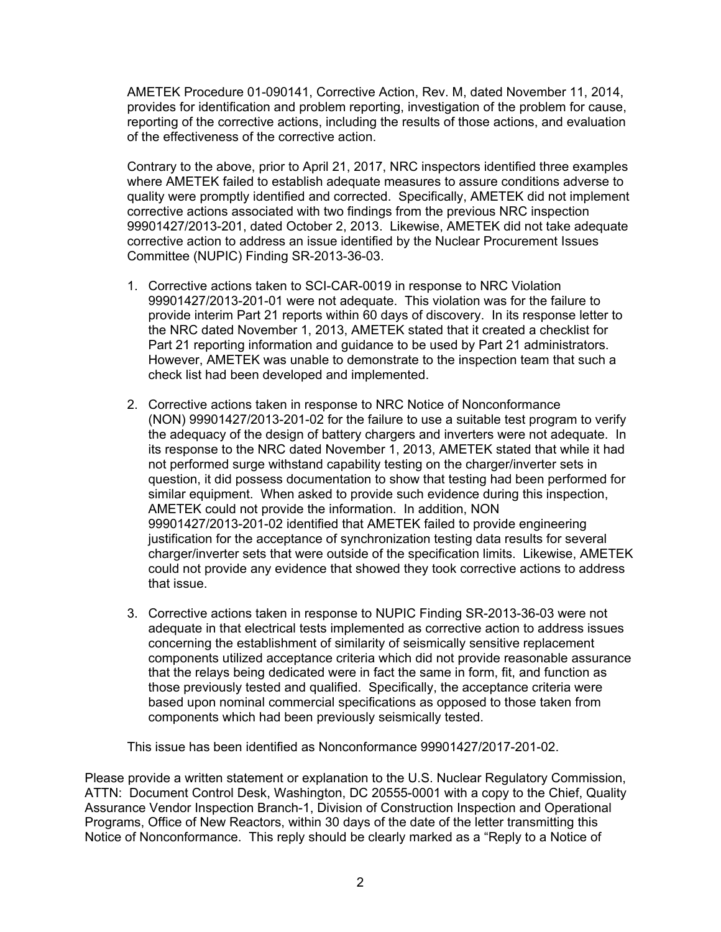AMETEK Procedure 01-090141, Corrective Action, Rev. M, dated November 11, 2014, provides for identification and problem reporting, investigation of the problem for cause, reporting of the corrective actions, including the results of those actions, and evaluation of the effectiveness of the corrective action.

Contrary to the above, prior to April 21, 2017, NRC inspectors identified three examples where AMETEK failed to establish adequate measures to assure conditions adverse to quality were promptly identified and corrected. Specifically, AMETEK did not implement corrective actions associated with two findings from the previous NRC inspection 99901427/2013-201, dated October 2, 2013. Likewise, AMETEK did not take adequate corrective action to address an issue identified by the Nuclear Procurement Issues Committee (NUPIC) Finding SR-2013-36-03.

- 1. Corrective actions taken to SCI-CAR-0019 in response to NRC Violation 99901427/2013-201-01 were not adequate. This violation was for the failure to provide interim Part 21 reports within 60 days of discovery. In its response letter to the NRC dated November 1, 2013, AMETEK stated that it created a checklist for Part 21 reporting information and guidance to be used by Part 21 administrators. However, AMETEK was unable to demonstrate to the inspection team that such a check list had been developed and implemented.
- 2. Corrective actions taken in response to NRC Notice of Nonconformance (NON) 99901427/2013-201-02 for the failure to use a suitable test program to verify the adequacy of the design of battery chargers and inverters were not adequate. In its response to the NRC dated November 1, 2013, AMETEK stated that while it had not performed surge withstand capability testing on the charger/inverter sets in question, it did possess documentation to show that testing had been performed for similar equipment. When asked to provide such evidence during this inspection, AMETEK could not provide the information. In addition, NON 99901427/2013-201-02 identified that AMETEK failed to provide engineering justification for the acceptance of synchronization testing data results for several charger/inverter sets that were outside of the specification limits. Likewise, AMETEK could not provide any evidence that showed they took corrective actions to address that issue.
- 3. Corrective actions taken in response to NUPIC Finding SR-2013-36-03 were not adequate in that electrical tests implemented as corrective action to address issues concerning the establishment of similarity of seismically sensitive replacement components utilized acceptance criteria which did not provide reasonable assurance that the relays being dedicated were in fact the same in form, fit, and function as those previously tested and qualified. Specifically, the acceptance criteria were based upon nominal commercial specifications as opposed to those taken from components which had been previously seismically tested.

This issue has been identified as Nonconformance 99901427/2017-201-02.

Please provide a written statement or explanation to the U.S. Nuclear Regulatory Commission, ATTN: Document Control Desk, Washington, DC 20555-0001 with a copy to the Chief, Quality Assurance Vendor Inspection Branch-1, Division of Construction Inspection and Operational Programs, Office of New Reactors, within 30 days of the date of the letter transmitting this Notice of Nonconformance. This reply should be clearly marked as a "Reply to a Notice of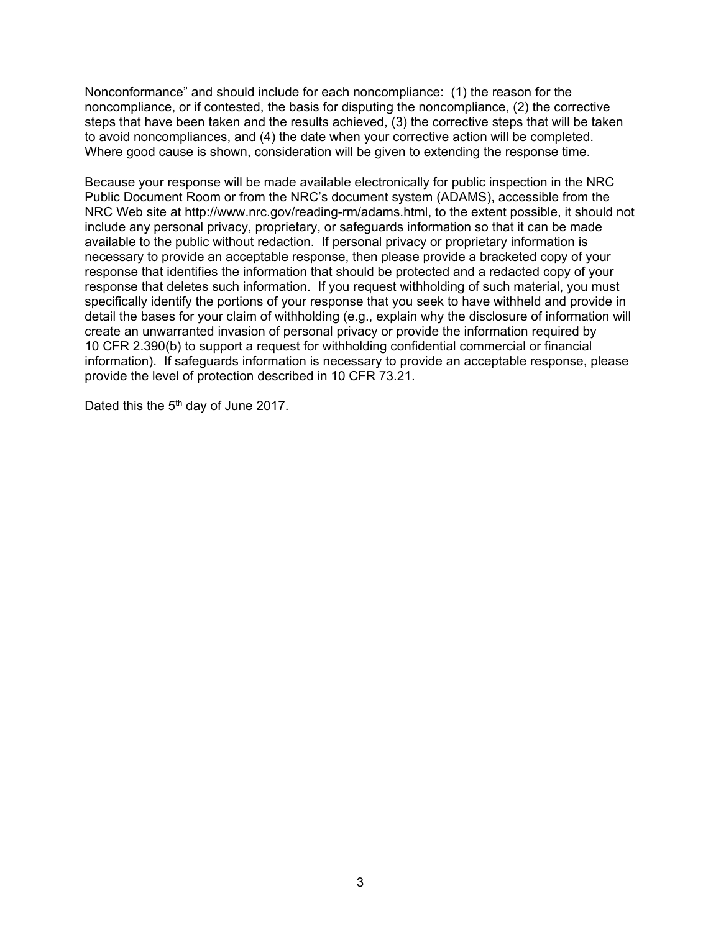Nonconformance" and should include for each noncompliance: (1) the reason for the noncompliance, or if contested, the basis for disputing the noncompliance, (2) the corrective steps that have been taken and the results achieved, (3) the corrective steps that will be taken to avoid noncompliances, and (4) the date when your corrective action will be completed. Where good cause is shown, consideration will be given to extending the response time.

Because your response will be made available electronically for public inspection in the NRC Public Document Room or from the NRC's document system (ADAMS), accessible from the NRC Web site at http://www.nrc.gov/reading-rm/adams.html, to the extent possible, it should not include any personal privacy, proprietary, or safeguards information so that it can be made available to the public without redaction. If personal privacy or proprietary information is necessary to provide an acceptable response, then please provide a bracketed copy of your response that identifies the information that should be protected and a redacted copy of your response that deletes such information. If you request withholding of such material, you must specifically identify the portions of your response that you seek to have withheld and provide in detail the bases for your claim of withholding (e.g., explain why the disclosure of information will create an unwarranted invasion of personal privacy or provide the information required by 10 CFR 2.390(b) to support a request for withholding confidential commercial or financial information). If safeguards information is necessary to provide an acceptable response, please provide the level of protection described in 10 CFR 73.21.

Dated this the 5<sup>th</sup> day of June 2017.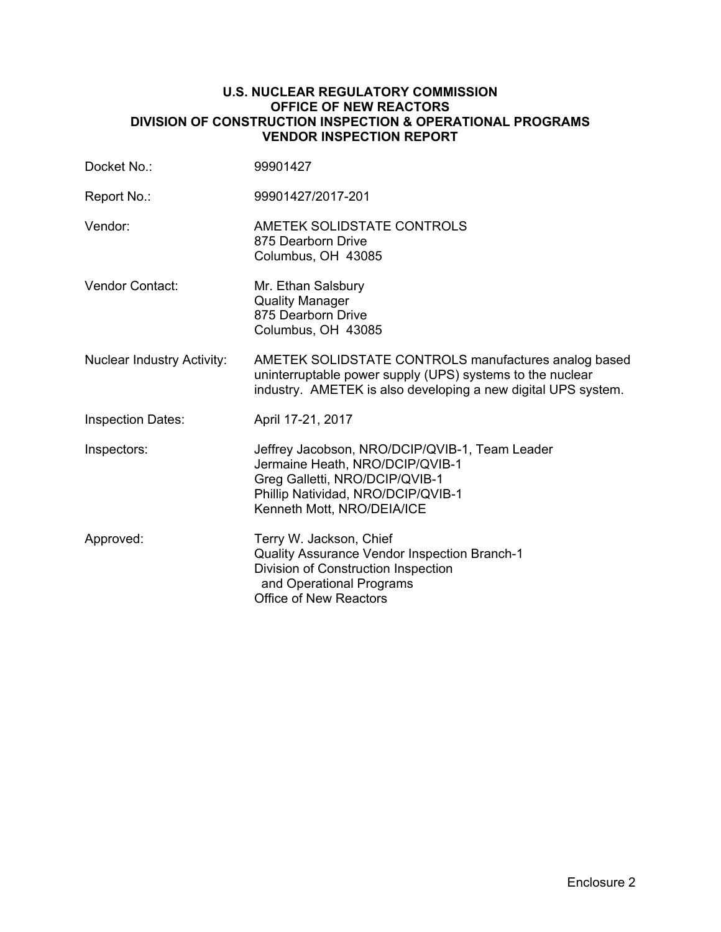#### **U.S. NUCLEAR REGULATORY COMMISSION OFFICE OF NEW REACTORS DIVISION OF CONSTRUCTION INSPECTION & OPERATIONAL PROGRAMS VENDOR INSPECTION REPORT**

| Docket No.:                       | 99901427                                                                                                                                                                                |
|-----------------------------------|-----------------------------------------------------------------------------------------------------------------------------------------------------------------------------------------|
| Report No.:                       | 99901427/2017-201                                                                                                                                                                       |
| Vendor:                           | AMETEK SOLIDSTATE CONTROLS<br>875 Dearborn Drive<br>Columbus, OH 43085                                                                                                                  |
| <b>Vendor Contact:</b>            | Mr. Ethan Salsbury<br><b>Quality Manager</b><br>875 Dearborn Drive<br>Columbus, OH 43085                                                                                                |
| <b>Nuclear Industry Activity:</b> | AMETEK SOLIDSTATE CONTROLS manufactures analog based<br>uninterruptable power supply (UPS) systems to the nuclear<br>industry. AMETEK is also developing a new digital UPS system.      |
| <b>Inspection Dates:</b>          | April 17-21, 2017                                                                                                                                                                       |
| Inspectors:                       | Jeffrey Jacobson, NRO/DCIP/QVIB-1, Team Leader<br>Jermaine Heath, NRO/DCIP/QVIB-1<br>Greg Galletti, NRO/DCIP/QVIB-1<br>Phillip Natividad, NRO/DCIP/QVIB-1<br>Kenneth Mott, NRO/DEIA/ICE |
| Approved:                         | Terry W. Jackson, Chief<br>Quality Assurance Vendor Inspection Branch-1<br>Division of Construction Inspection<br>and Operational Programs<br><b>Office of New Reactors</b>             |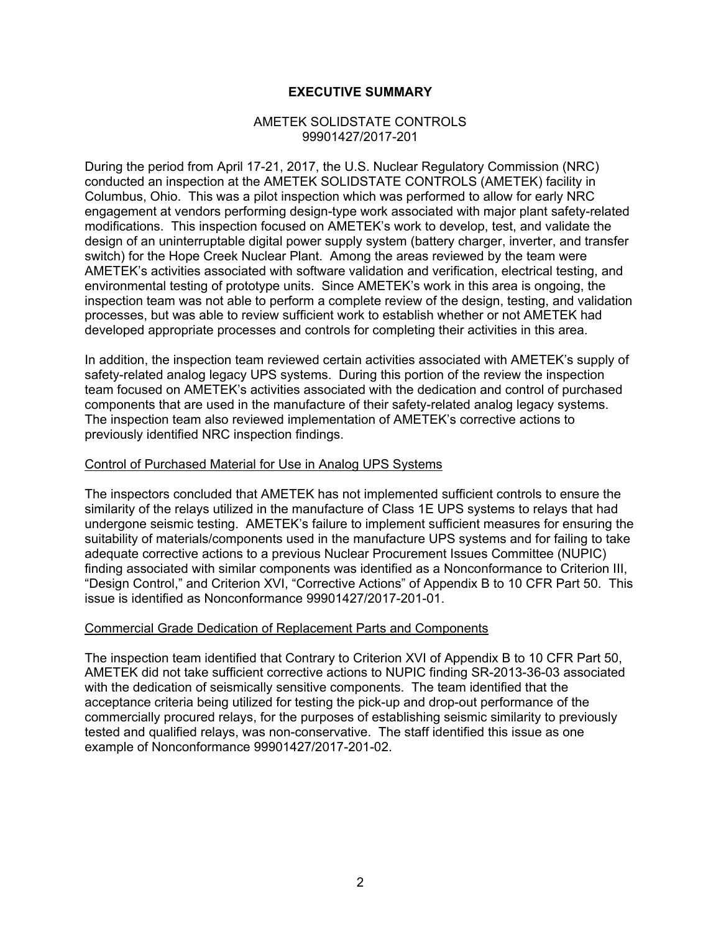### **EXECUTIVE SUMMARY**

#### AMETEK SOLIDSTATE CONTROLS 99901427/2017-201

During the period from April 17-21, 2017, the U.S. Nuclear Regulatory Commission (NRC) conducted an inspection at the AMETEK SOLIDSTATE CONTROLS (AMETEK) facility in Columbus, Ohio. This was a pilot inspection which was performed to allow for early NRC engagement at vendors performing design-type work associated with major plant safety-related modifications. This inspection focused on AMETEK's work to develop, test, and validate the design of an uninterruptable digital power supply system (battery charger, inverter, and transfer switch) for the Hope Creek Nuclear Plant. Among the areas reviewed by the team were AMETEK's activities associated with software validation and verification, electrical testing, and environmental testing of prototype units. Since AMETEK's work in this area is ongoing, the inspection team was not able to perform a complete review of the design, testing, and validation processes, but was able to review sufficient work to establish whether or not AMETEK had developed appropriate processes and controls for completing their activities in this area.

In addition, the inspection team reviewed certain activities associated with AMETEK's supply of safety-related analog legacy UPS systems. During this portion of the review the inspection team focused on AMETEK's activities associated with the dedication and control of purchased components that are used in the manufacture of their safety-related analog legacy systems. The inspection team also reviewed implementation of AMETEK's corrective actions to previously identified NRC inspection findings.

#### Control of Purchased Material for Use in Analog UPS Systems

The inspectors concluded that AMETEK has not implemented sufficient controls to ensure the similarity of the relays utilized in the manufacture of Class 1E UPS systems to relays that had undergone seismic testing. AMETEK's failure to implement sufficient measures for ensuring the suitability of materials/components used in the manufacture UPS systems and for failing to take adequate corrective actions to a previous Nuclear Procurement Issues Committee (NUPIC) finding associated with similar components was identified as a Nonconformance to Criterion III, "Design Control," and Criterion XVI, "Corrective Actions" of Appendix B to 10 CFR Part 50. This issue is identified as Nonconformance 99901427/2017-201-01.

#### Commercial Grade Dedication of Replacement Parts and Components

The inspection team identified that Contrary to Criterion XVI of Appendix B to 10 CFR Part 50, AMETEK did not take sufficient corrective actions to NUPIC finding SR-2013-36-03 associated with the dedication of seismically sensitive components. The team identified that the acceptance criteria being utilized for testing the pick-up and drop-out performance of the commercially procured relays, for the purposes of establishing seismic similarity to previously tested and qualified relays, was non-conservative. The staff identified this issue as one example of Nonconformance 99901427/2017-201-02.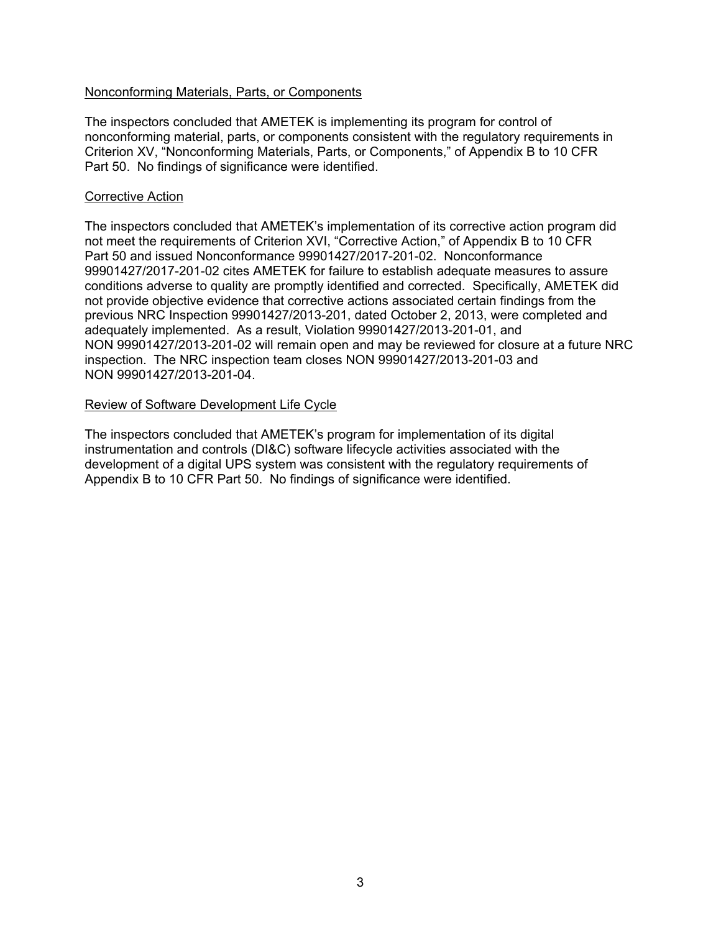#### Nonconforming Materials, Parts, or Components

The inspectors concluded that AMETEK is implementing its program for control of nonconforming material, parts, or components consistent with the regulatory requirements in Criterion XV, "Nonconforming Materials, Parts, or Components," of Appendix B to 10 CFR Part 50. No findings of significance were identified.

#### Corrective Action

The inspectors concluded that AMETEK's implementation of its corrective action program did not meet the requirements of Criterion XVI, "Corrective Action," of Appendix B to 10 CFR Part 50 and issued Nonconformance 99901427/2017-201-02. Nonconformance 99901427/2017-201-02 cites AMETEK for failure to establish adequate measures to assure conditions adverse to quality are promptly identified and corrected. Specifically, AMETEK did not provide objective evidence that corrective actions associated certain findings from the previous NRC Inspection 99901427/2013-201, dated October 2, 2013, were completed and adequately implemented. As a result, Violation 99901427/2013-201-01, and NON 99901427/2013-201-02 will remain open and may be reviewed for closure at a future NRC inspection. The NRC inspection team closes NON 99901427/2013-201-03 and NON 99901427/2013-201-04.

#### Review of Software Development Life Cycle

The inspectors concluded that AMETEK's program for implementation of its digital instrumentation and controls (DI&C) software lifecycle activities associated with the development of a digital UPS system was consistent with the regulatory requirements of Appendix B to 10 CFR Part 50. No findings of significance were identified.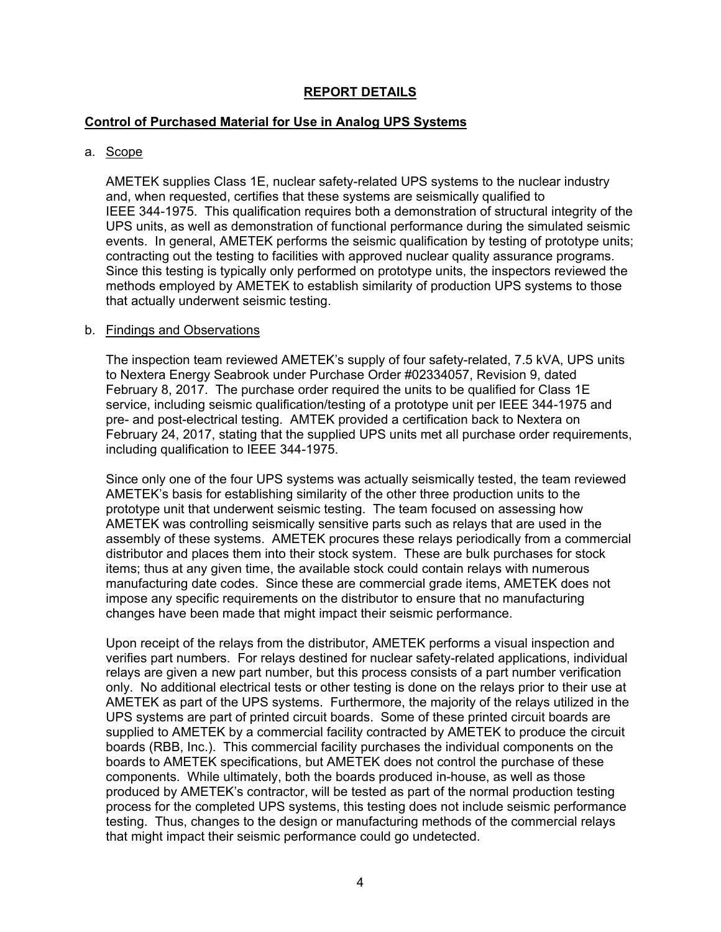## **REPORT DETAILS**

### **Control of Purchased Material for Use in Analog UPS Systems**

#### a. Scope

AMETEK supplies Class 1E, nuclear safety-related UPS systems to the nuclear industry and, when requested, certifies that these systems are seismically qualified to IEEE 344-1975. This qualification requires both a demonstration of structural integrity of the UPS units, as well as demonstration of functional performance during the simulated seismic events. In general, AMETEK performs the seismic qualification by testing of prototype units; contracting out the testing to facilities with approved nuclear quality assurance programs. Since this testing is typically only performed on prototype units, the inspectors reviewed the methods employed by AMETEK to establish similarity of production UPS systems to those that actually underwent seismic testing.

#### b. Findings and Observations

The inspection team reviewed AMETEK's supply of four safety-related, 7.5 kVA, UPS units to Nextera Energy Seabrook under Purchase Order #02334057, Revision 9, dated February 8, 2017. The purchase order required the units to be qualified for Class 1E service, including seismic qualification/testing of a prototype unit per IEEE 344-1975 and pre- and post-electrical testing. AMTEK provided a certification back to Nextera on February 24, 2017, stating that the supplied UPS units met all purchase order requirements, including qualification to IEEE 344-1975.

Since only one of the four UPS systems was actually seismically tested, the team reviewed AMETEK's basis for establishing similarity of the other three production units to the prototype unit that underwent seismic testing. The team focused on assessing how AMETEK was controlling seismically sensitive parts such as relays that are used in the assembly of these systems. AMETEK procures these relays periodically from a commercial distributor and places them into their stock system. These are bulk purchases for stock items; thus at any given time, the available stock could contain relays with numerous manufacturing date codes. Since these are commercial grade items, AMETEK does not impose any specific requirements on the distributor to ensure that no manufacturing changes have been made that might impact their seismic performance.

Upon receipt of the relays from the distributor, AMETEK performs a visual inspection and verifies part numbers. For relays destined for nuclear safety-related applications, individual relays are given a new part number, but this process consists of a part number verification only. No additional electrical tests or other testing is done on the relays prior to their use at AMETEK as part of the UPS systems. Furthermore, the majority of the relays utilized in the UPS systems are part of printed circuit boards. Some of these printed circuit boards are supplied to AMETEK by a commercial facility contracted by AMETEK to produce the circuit boards (RBB, Inc.). This commercial facility purchases the individual components on the boards to AMETEK specifications, but AMETEK does not control the purchase of these components. While ultimately, both the boards produced in-house, as well as those produced by AMETEK's contractor, will be tested as part of the normal production testing process for the completed UPS systems, this testing does not include seismic performance testing. Thus, changes to the design or manufacturing methods of the commercial relays that might impact their seismic performance could go undetected.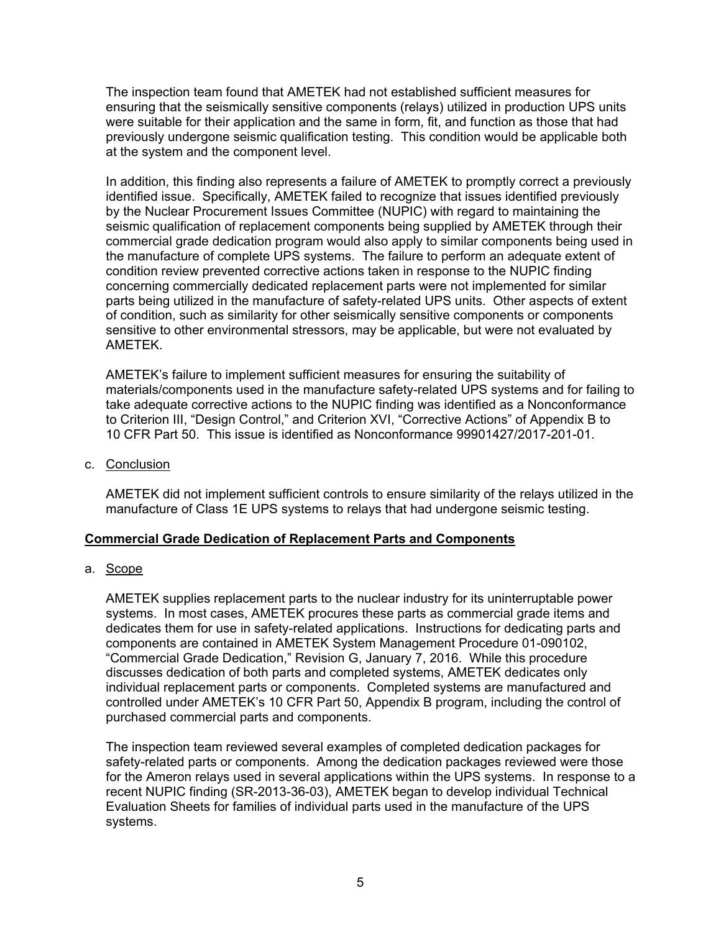The inspection team found that AMETEK had not established sufficient measures for ensuring that the seismically sensitive components (relays) utilized in production UPS units were suitable for their application and the same in form, fit, and function as those that had previously undergone seismic qualification testing. This condition would be applicable both at the system and the component level.

In addition, this finding also represents a failure of AMETEK to promptly correct a previously identified issue. Specifically, AMETEK failed to recognize that issues identified previously by the Nuclear Procurement Issues Committee (NUPIC) with regard to maintaining the seismic qualification of replacement components being supplied by AMETEK through their commercial grade dedication program would also apply to similar components being used in the manufacture of complete UPS systems. The failure to perform an adequate extent of condition review prevented corrective actions taken in response to the NUPIC finding concerning commercially dedicated replacement parts were not implemented for similar parts being utilized in the manufacture of safety-related UPS units. Other aspects of extent of condition, such as similarity for other seismically sensitive components or components sensitive to other environmental stressors, may be applicable, but were not evaluated by AMETEK.

AMETEK's failure to implement sufficient measures for ensuring the suitability of materials/components used in the manufacture safety-related UPS systems and for failing to take adequate corrective actions to the NUPIC finding was identified as a Nonconformance to Criterion III, "Design Control," and Criterion XVI, "Corrective Actions" of Appendix B to 10 CFR Part 50. This issue is identified as Nonconformance 99901427/2017-201-01.

c. Conclusion

AMETEK did not implement sufficient controls to ensure similarity of the relays utilized in the manufacture of Class 1E UPS systems to relays that had undergone seismic testing.

## **Commercial Grade Dedication of Replacement Parts and Components**

a. Scope

AMETEK supplies replacement parts to the nuclear industry for its uninterruptable power systems. In most cases, AMETEK procures these parts as commercial grade items and dedicates them for use in safety-related applications. Instructions for dedicating parts and components are contained in AMETEK System Management Procedure 01-090102, "Commercial Grade Dedication," Revision G, January 7, 2016. While this procedure discusses dedication of both parts and completed systems, AMETEK dedicates only individual replacement parts or components. Completed systems are manufactured and controlled under AMETEK's 10 CFR Part 50, Appendix B program, including the control of purchased commercial parts and components.

The inspection team reviewed several examples of completed dedication packages for safety-related parts or components. Among the dedication packages reviewed were those for the Ameron relays used in several applications within the UPS systems. In response to a recent NUPIC finding (SR-2013-36-03), AMETEK began to develop individual Technical Evaluation Sheets for families of individual parts used in the manufacture of the UPS systems.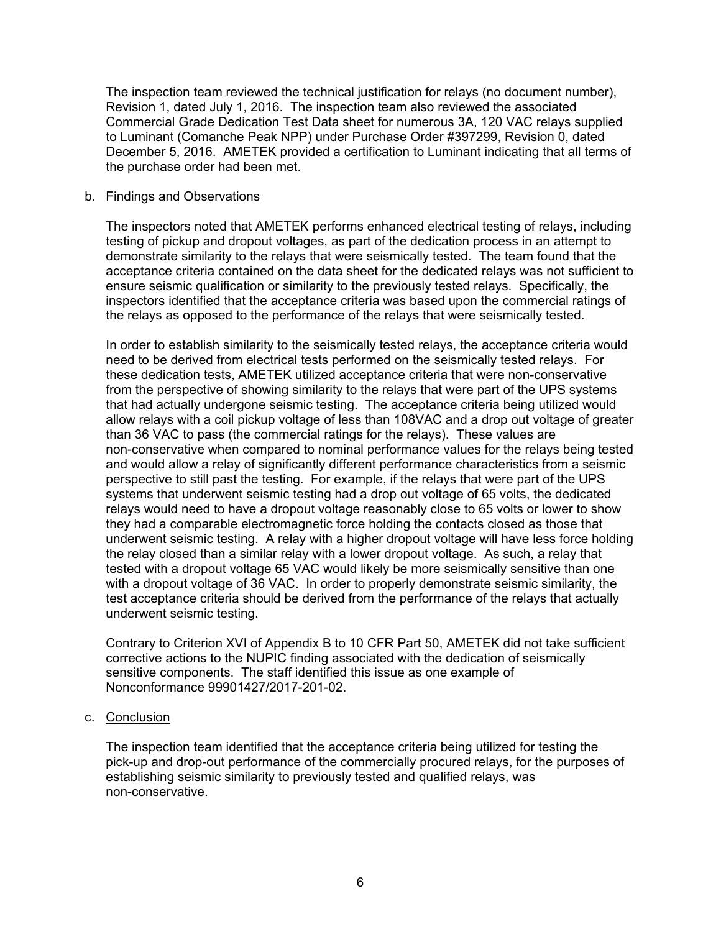The inspection team reviewed the technical justification for relays (no document number), Revision 1, dated July 1, 2016. The inspection team also reviewed the associated Commercial Grade Dedication Test Data sheet for numerous 3A, 120 VAC relays supplied to Luminant (Comanche Peak NPP) under Purchase Order #397299, Revision 0, dated December 5, 2016. AMETEK provided a certification to Luminant indicating that all terms of the purchase order had been met.

#### b. Findings and Observations

The inspectors noted that AMETEK performs enhanced electrical testing of relays, including testing of pickup and dropout voltages, as part of the dedication process in an attempt to demonstrate similarity to the relays that were seismically tested. The team found that the acceptance criteria contained on the data sheet for the dedicated relays was not sufficient to ensure seismic qualification or similarity to the previously tested relays. Specifically, the inspectors identified that the acceptance criteria was based upon the commercial ratings of the relays as opposed to the performance of the relays that were seismically tested.

In order to establish similarity to the seismically tested relays, the acceptance criteria would need to be derived from electrical tests performed on the seismically tested relays. For these dedication tests, AMETEK utilized acceptance criteria that were non-conservative from the perspective of showing similarity to the relays that were part of the UPS systems that had actually undergone seismic testing. The acceptance criteria being utilized would allow relays with a coil pickup voltage of less than 108VAC and a drop out voltage of greater than 36 VAC to pass (the commercial ratings for the relays). These values are non-conservative when compared to nominal performance values for the relays being tested and would allow a relay of significantly different performance characteristics from a seismic perspective to still past the testing. For example, if the relays that were part of the UPS systems that underwent seismic testing had a drop out voltage of 65 volts, the dedicated relays would need to have a dropout voltage reasonably close to 65 volts or lower to show they had a comparable electromagnetic force holding the contacts closed as those that underwent seismic testing. A relay with a higher dropout voltage will have less force holding the relay closed than a similar relay with a lower dropout voltage. As such, a relay that tested with a dropout voltage 65 VAC would likely be more seismically sensitive than one with a dropout voltage of 36 VAC. In order to properly demonstrate seismic similarity, the test acceptance criteria should be derived from the performance of the relays that actually underwent seismic testing.

Contrary to Criterion XVI of Appendix B to 10 CFR Part 50, AMETEK did not take sufficient corrective actions to the NUPIC finding associated with the dedication of seismically sensitive components. The staff identified this issue as one example of Nonconformance 99901427/2017-201-02.

c. Conclusion

The inspection team identified that the acceptance criteria being utilized for testing the pick-up and drop-out performance of the commercially procured relays, for the purposes of establishing seismic similarity to previously tested and qualified relays, was non-conservative.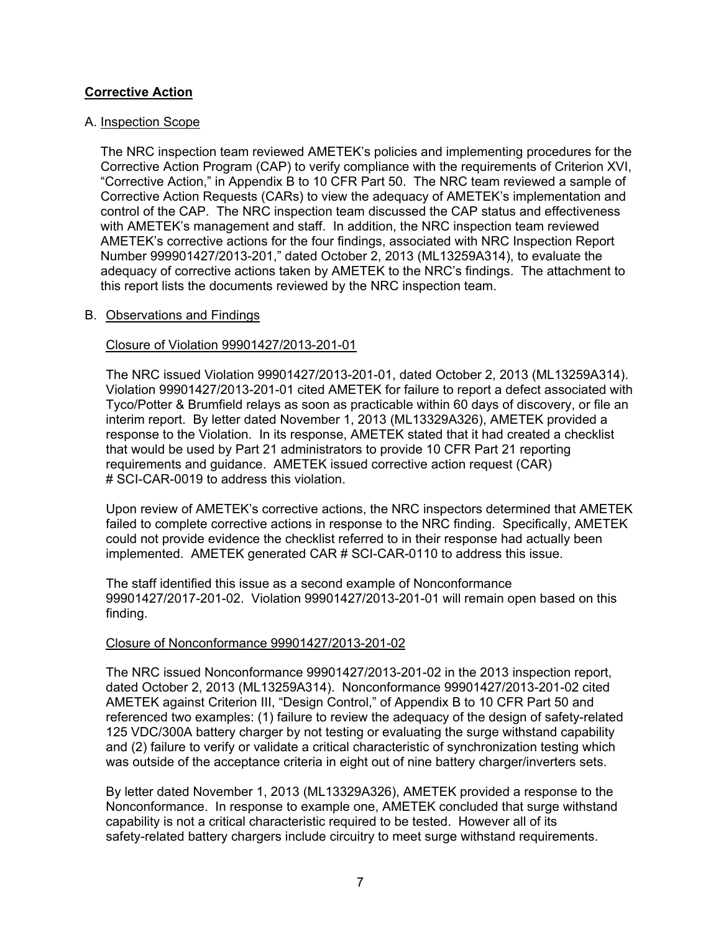## **Corrective Action**

## A. Inspection Scope

The NRC inspection team reviewed AMETEK's policies and implementing procedures for the Corrective Action Program (CAP) to verify compliance with the requirements of Criterion XVI, "Corrective Action," in Appendix B to 10 CFR Part 50. The NRC team reviewed a sample of Corrective Action Requests (CARs) to view the adequacy of AMETEK's implementation and control of the CAP. The NRC inspection team discussed the CAP status and effectiveness with AMETEK's management and staff. In addition, the NRC inspection team reviewed AMETEK's corrective actions for the four findings, associated with NRC Inspection Report Number 999901427/2013-201," dated October 2, 2013 (ML13259A314), to evaluate the adequacy of corrective actions taken by AMETEK to the NRC's findings. The attachment to this report lists the documents reviewed by the NRC inspection team.

#### B. Observations and Findings

#### Closure of Violation 99901427/2013-201-01

The NRC issued Violation 99901427/2013-201-01, dated October 2, 2013 (ML13259A314). Violation 99901427/2013-201-01 cited AMETEK for failure to report a defect associated with Tyco/Potter & Brumfield relays as soon as practicable within 60 days of discovery, or file an interim report. By letter dated November 1, 2013 (ML13329A326), AMETEK provided a response to the Violation. In its response, AMETEK stated that it had created a checklist that would be used by Part 21 administrators to provide 10 CFR Part 21 reporting requirements and guidance. AMETEK issued corrective action request (CAR) # SCI-CAR-0019 to address this violation.

Upon review of AMETEK's corrective actions, the NRC inspectors determined that AMETEK failed to complete corrective actions in response to the NRC finding. Specifically, AMETEK could not provide evidence the checklist referred to in their response had actually been implemented. AMETEK generated CAR # SCI-CAR-0110 to address this issue.

The staff identified this issue as a second example of Nonconformance 99901427/2017-201-02. Violation 99901427/2013-201-01 will remain open based on this finding.

#### Closure of Nonconformance 99901427/2013-201-02

The NRC issued Nonconformance 99901427/2013-201-02 in the 2013 inspection report, dated October 2, 2013 (ML13259A314). Nonconformance 99901427/2013-201-02 cited AMETEK against Criterion III, "Design Control," of Appendix B to 10 CFR Part 50 and referenced two examples: (1) failure to review the adequacy of the design of safety-related 125 VDC/300A battery charger by not testing or evaluating the surge withstand capability and (2) failure to verify or validate a critical characteristic of synchronization testing which was outside of the acceptance criteria in eight out of nine battery charger/inverters sets.

By letter dated November 1, 2013 (ML13329A326), AMETEK provided a response to the Nonconformance. In response to example one, AMETEK concluded that surge withstand capability is not a critical characteristic required to be tested. However all of its safety-related battery chargers include circuitry to meet surge withstand requirements.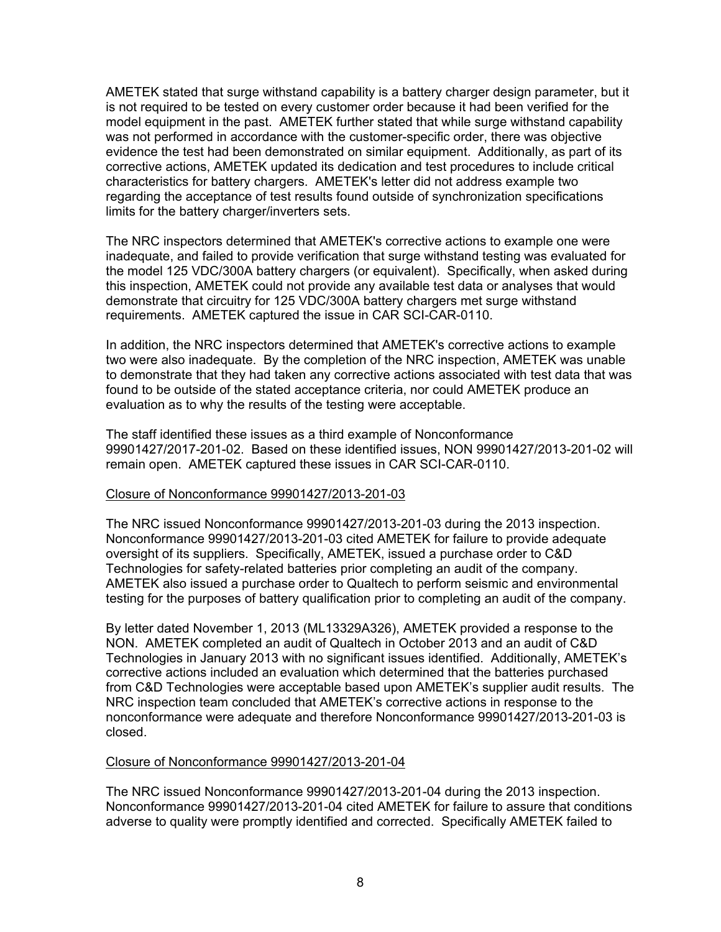AMETEK stated that surge withstand capability is a battery charger design parameter, but it is not required to be tested on every customer order because it had been verified for the model equipment in the past. AMETEK further stated that while surge withstand capability was not performed in accordance with the customer-specific order, there was objective evidence the test had been demonstrated on similar equipment. Additionally, as part of its corrective actions, AMETEK updated its dedication and test procedures to include critical characteristics for battery chargers. AMETEK's letter did not address example two regarding the acceptance of test results found outside of synchronization specifications limits for the battery charger/inverters sets.

The NRC inspectors determined that AMETEK's corrective actions to example one were inadequate, and failed to provide verification that surge withstand testing was evaluated for the model 125 VDC/300A battery chargers (or equivalent). Specifically, when asked during this inspection, AMETEK could not provide any available test data or analyses that would demonstrate that circuitry for 125 VDC/300A battery chargers met surge withstand requirements. AMETEK captured the issue in CAR SCI-CAR-0110.

In addition, the NRC inspectors determined that AMETEK's corrective actions to example two were also inadequate. By the completion of the NRC inspection, AMETEK was unable to demonstrate that they had taken any corrective actions associated with test data that was found to be outside of the stated acceptance criteria, nor could AMETEK produce an evaluation as to why the results of the testing were acceptable.

The staff identified these issues as a third example of Nonconformance 99901427/2017-201-02. Based on these identified issues, NON 99901427/2013-201-02 will remain open. AMETEK captured these issues in CAR SCI-CAR-0110.

#### Closure of Nonconformance 99901427/2013-201-03

The NRC issued Nonconformance 99901427/2013-201-03 during the 2013 inspection. Nonconformance 99901427/2013-201-03 cited AMETEK for failure to provide adequate oversight of its suppliers. Specifically, AMETEK, issued a purchase order to C&D Technologies for safety-related batteries prior completing an audit of the company. AMETEK also issued a purchase order to Qualtech to perform seismic and environmental testing for the purposes of battery qualification prior to completing an audit of the company.

By letter dated November 1, 2013 (ML13329A326), AMETEK provided a response to the NON. AMETEK completed an audit of Qualtech in October 2013 and an audit of C&D Technologies in January 2013 with no significant issues identified. Additionally, AMETEK's corrective actions included an evaluation which determined that the batteries purchased from C&D Technologies were acceptable based upon AMETEK's supplier audit results. The NRC inspection team concluded that AMETEK's corrective actions in response to the nonconformance were adequate and therefore Nonconformance 99901427/2013-201-03 is closed.

#### Closure of Nonconformance 99901427/2013-201-04

The NRC issued Nonconformance 99901427/2013-201-04 during the 2013 inspection. Nonconformance 99901427/2013-201-04 cited AMETEK for failure to assure that conditions adverse to quality were promptly identified and corrected. Specifically AMETEK failed to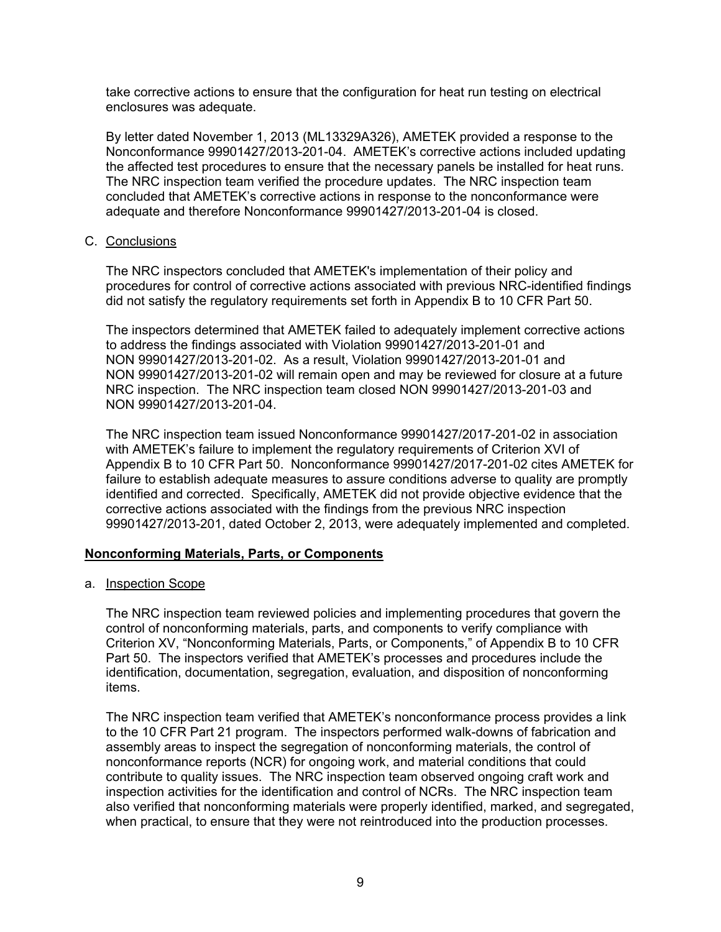take corrective actions to ensure that the configuration for heat run testing on electrical enclosures was adequate.

By letter dated November 1, 2013 (ML13329A326), AMETEK provided a response to the Nonconformance 99901427/2013-201-04. AMETEK's corrective actions included updating the affected test procedures to ensure that the necessary panels be installed for heat runs. The NRC inspection team verified the procedure updates. The NRC inspection team concluded that AMETEK's corrective actions in response to the nonconformance were adequate and therefore Nonconformance 99901427/2013-201-04 is closed.

#### C. Conclusions

The NRC inspectors concluded that AMETEK's implementation of their policy and procedures for control of corrective actions associated with previous NRC-identified findings did not satisfy the regulatory requirements set forth in Appendix B to 10 CFR Part 50.

The inspectors determined that AMETEK failed to adequately implement corrective actions to address the findings associated with Violation 99901427/2013-201-01 and NON 99901427/2013-201-02. As a result, Violation 99901427/2013-201-01 and NON 99901427/2013-201-02 will remain open and may be reviewed for closure at a future NRC inspection. The NRC inspection team closed NON 99901427/2013-201-03 and NON 99901427/2013-201-04.

The NRC inspection team issued Nonconformance 99901427/2017-201-02 in association with AMETEK's failure to implement the regulatory requirements of Criterion XVI of Appendix B to 10 CFR Part 50. Nonconformance 99901427/2017-201-02 cites AMETEK for failure to establish adequate measures to assure conditions adverse to quality are promptly identified and corrected. Specifically, AMETEK did not provide objective evidence that the corrective actions associated with the findings from the previous NRC inspection 99901427/2013-201, dated October 2, 2013, were adequately implemented and completed.

## **Nonconforming Materials, Parts, or Components**

a. Inspection Scope

The NRC inspection team reviewed policies and implementing procedures that govern the control of nonconforming materials, parts, and components to verify compliance with Criterion XV, "Nonconforming Materials, Parts, or Components," of Appendix B to 10 CFR Part 50. The inspectors verified that AMETEK's processes and procedures include the identification, documentation, segregation, evaluation, and disposition of nonconforming items.

The NRC inspection team verified that AMETEK's nonconformance process provides a link to the 10 CFR Part 21 program. The inspectors performed walk-downs of fabrication and assembly areas to inspect the segregation of nonconforming materials, the control of nonconformance reports (NCR) for ongoing work, and material conditions that could contribute to quality issues. The NRC inspection team observed ongoing craft work and inspection activities for the identification and control of NCRs. The NRC inspection team also verified that nonconforming materials were properly identified, marked, and segregated, when practical, to ensure that they were not reintroduced into the production processes.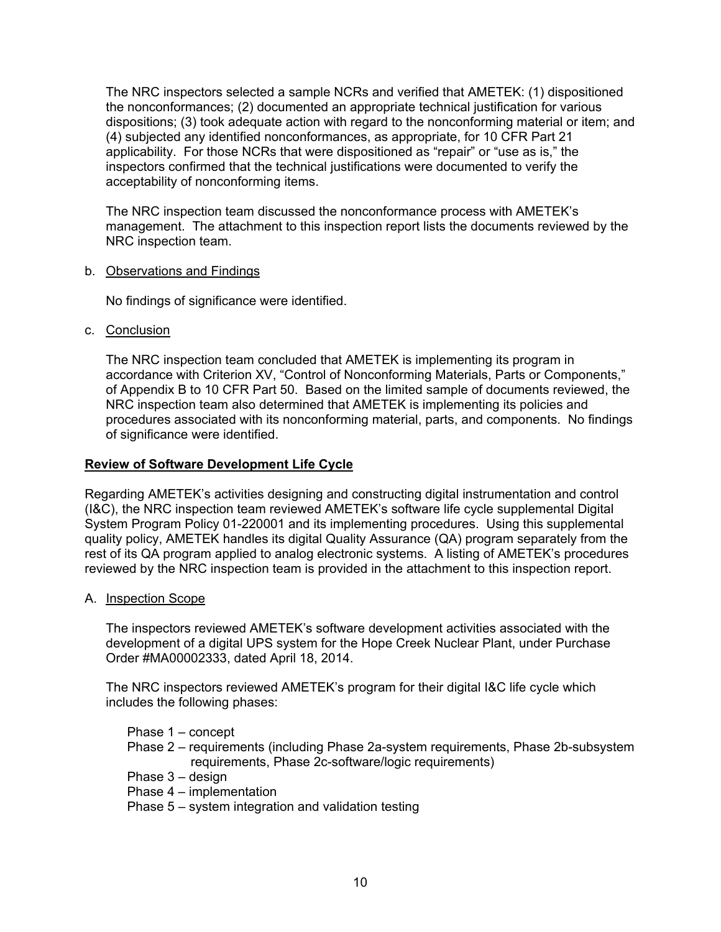The NRC inspectors selected a sample NCRs and verified that AMETEK: (1) dispositioned the nonconformances; (2) documented an appropriate technical justification for various dispositions; (3) took adequate action with regard to the nonconforming material or item; and (4) subjected any identified nonconformances, as appropriate, for 10 CFR Part 21 applicability. For those NCRs that were dispositioned as "repair" or "use as is," the inspectors confirmed that the technical justifications were documented to verify the acceptability of nonconforming items.

The NRC inspection team discussed the nonconformance process with AMETEK's management. The attachment to this inspection report lists the documents reviewed by the NRC inspection team.

#### b. Observations and Findings

No findings of significance were identified.

c. Conclusion

The NRC inspection team concluded that AMETEK is implementing its program in accordance with Criterion XV, "Control of Nonconforming Materials, Parts or Components," of Appendix B to 10 CFR Part 50. Based on the limited sample of documents reviewed, the NRC inspection team also determined that AMETEK is implementing its policies and procedures associated with its nonconforming material, parts, and components. No findings of significance were identified.

## **Review of Software Development Life Cycle**

Regarding AMETEK's activities designing and constructing digital instrumentation and control (I&C), the NRC inspection team reviewed AMETEK's software life cycle supplemental Digital System Program Policy 01-220001 and its implementing procedures. Using this supplemental quality policy, AMETEK handles its digital Quality Assurance (QA) program separately from the rest of its QA program applied to analog electronic systems. A listing of AMETEK's procedures reviewed by the NRC inspection team is provided in the attachment to this inspection report.

A. Inspection Scope

The inspectors reviewed AMETEK's software development activities associated with the development of a digital UPS system for the Hope Creek Nuclear Plant, under Purchase Order #MA00002333, dated April 18, 2014.

The NRC inspectors reviewed AMETEK's program for their digital I&C life cycle which includes the following phases:

Phase 1 – concept

- Phase 2 requirements (including Phase 2a-system requirements, Phase 2b-subsystem requirements, Phase 2c-software/logic requirements)
- Phase 3 design
- Phase 4 implementation
- Phase 5 system integration and validation testing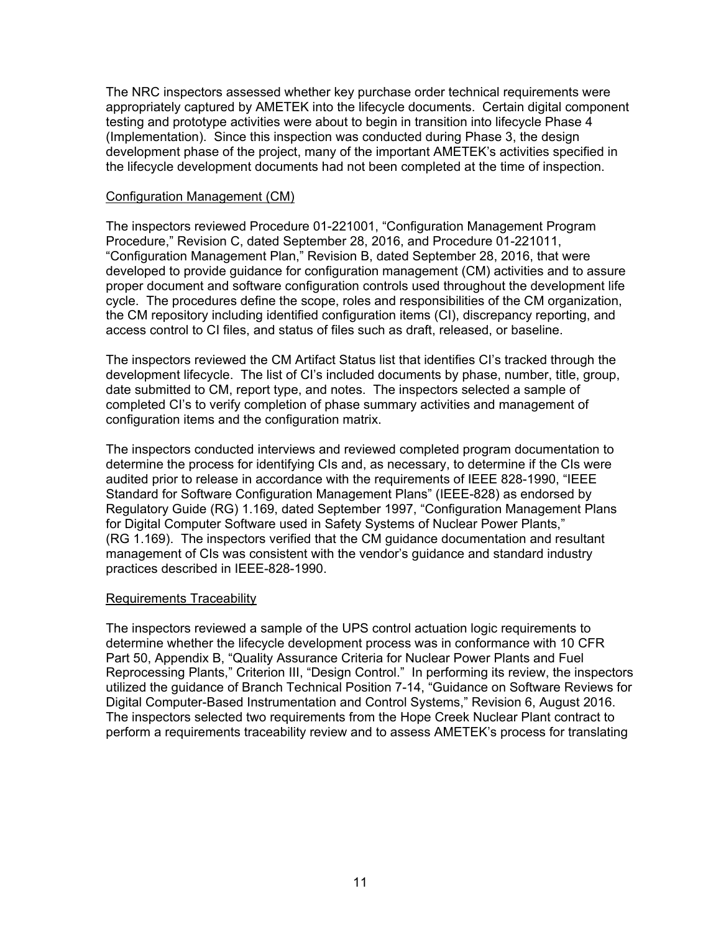The NRC inspectors assessed whether key purchase order technical requirements were appropriately captured by AMETEK into the lifecycle documents. Certain digital component testing and prototype activities were about to begin in transition into lifecycle Phase 4 (Implementation). Since this inspection was conducted during Phase 3, the design development phase of the project, many of the important AMETEK's activities specified in the lifecycle development documents had not been completed at the time of inspection.

#### Configuration Management (CM)

The inspectors reviewed Procedure 01-221001, "Configuration Management Program Procedure," Revision C, dated September 28, 2016, and Procedure 01-221011, "Configuration Management Plan," Revision B, dated September 28, 2016, that were developed to provide guidance for configuration management (CM) activities and to assure proper document and software configuration controls used throughout the development life cycle. The procedures define the scope, roles and responsibilities of the CM organization, the CM repository including identified configuration items (CI), discrepancy reporting, and access control to CI files, and status of files such as draft, released, or baseline.

The inspectors reviewed the CM Artifact Status list that identifies CI's tracked through the development lifecycle. The list of CI's included documents by phase, number, title, group, date submitted to CM, report type, and notes. The inspectors selected a sample of completed CI's to verify completion of phase summary activities and management of configuration items and the configuration matrix.

The inspectors conducted interviews and reviewed completed program documentation to determine the process for identifying CIs and, as necessary, to determine if the CIs were audited prior to release in accordance with the requirements of IEEE 828-1990, "IEEE Standard for Software Configuration Management Plans" (IEEE-828) as endorsed by Regulatory Guide (RG) 1.169, dated September 1997, "Configuration Management Plans for Digital Computer Software used in Safety Systems of Nuclear Power Plants," (RG 1.169). The inspectors verified that the CM guidance documentation and resultant management of CIs was consistent with the vendor's guidance and standard industry practices described in IEEE-828-1990.

## Requirements Traceability

The inspectors reviewed a sample of the UPS control actuation logic requirements to determine whether the lifecycle development process was in conformance with 10 CFR Part 50, Appendix B, "Quality Assurance Criteria for Nuclear Power Plants and Fuel Reprocessing Plants," Criterion III, "Design Control." In performing its review, the inspectors utilized the guidance of Branch Technical Position 7-14, "Guidance on Software Reviews for Digital Computer-Based Instrumentation and Control Systems," Revision 6, August 2016. The inspectors selected two requirements from the Hope Creek Nuclear Plant contract to perform a requirements traceability review and to assess AMETEK's process for translating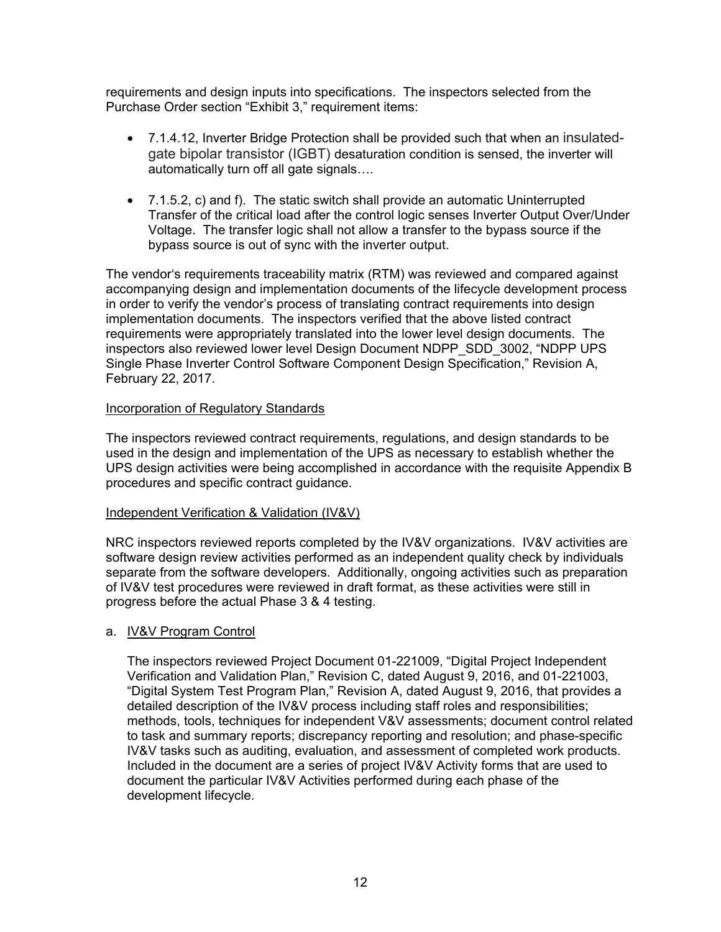requirements and design inputs into specifications. The inspectors selected from the Purchase Order section "Exhibit 3," requirement items:

- 7.1.4.12, Inverter Bridge Protection shall be provided such that when an insulatedgate bipolar transistor (IGBT) desaturation condition is sensed, the inverter will automatically turn off all gate signals….
- 7.1.5.2, c) and f). The static switch shall provide an automatic Uninterrupted Transfer of the critical load after the control logic senses Inverter Output Over/Under Voltage. The transfer logic shall not allow a transfer to the bypass source if the bypass source is out of sync with the inverter output.

The vendor's requirements traceability matrix (RTM) was reviewed and compared against accompanying design and implementation documents of the lifecycle development process in order to verify the vendor's process of translating contract requirements into design implementation documents. The inspectors verified that the above listed contract requirements were appropriately translated into the lower level design documents. The inspectors also reviewed lower level Design Document NDPP\_SDD\_3002, "NDPP UPS Single Phase Inverter Control Software Component Design Specification," Revision A, February 22, 2017.

#### Incorporation of Regulatory Standards

The inspectors reviewed contract requirements, regulations, and design standards to be used in the design and implementation of the UPS as necessary to establish whether the UPS design activities were being accomplished in accordance with the requisite Appendix B procedures and specific contract guidance.

#### Independent Verification & Validation (IV&V)

NRC inspectors reviewed reports completed by the IV&V organizations. IV&V activities are software design review activities performed as an independent quality check by individuals separate from the software developers. Additionally, ongoing activities such as preparation of IV&V test procedures were reviewed in draft format, as these activities were still in progress before the actual Phase 3 & 4 testing.

## a. IV&V Program Control

The inspectors reviewed Project Document 01-221009, "Digital Project Independent Verification and Validation Plan," Revision C, dated August 9, 2016, and 01-221003, "Digital System Test Program Plan," Revision A, dated August 9, 2016, that provides a detailed description of the IV&V process including staff roles and responsibilities; methods, tools, techniques for independent V&V assessments; document control related to task and summary reports; discrepancy reporting and resolution; and phase-specific IV&V tasks such as auditing, evaluation, and assessment of completed work products. Included in the document are a series of project IV&V Activity forms that are used to document the particular IV&V Activities performed during each phase of the development lifecycle.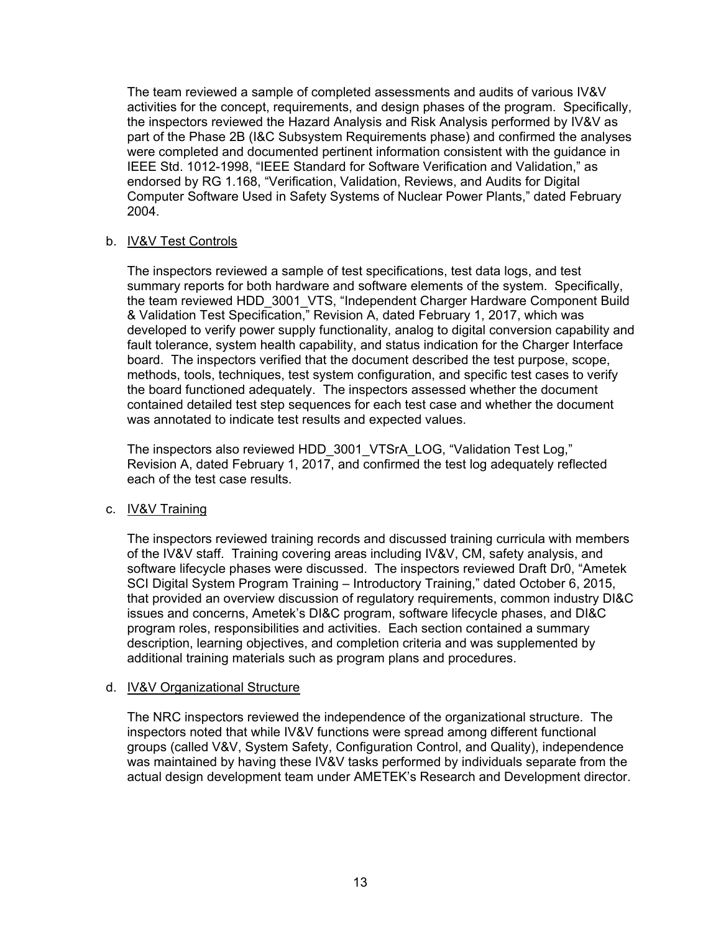The team reviewed a sample of completed assessments and audits of various IV&V activities for the concept, requirements, and design phases of the program. Specifically, the inspectors reviewed the Hazard Analysis and Risk Analysis performed by IV&V as part of the Phase 2B (I&C Subsystem Requirements phase) and confirmed the analyses were completed and documented pertinent information consistent with the guidance in IEEE Std. 1012-1998, "IEEE Standard for Software Verification and Validation," as endorsed by RG 1.168, "Verification, Validation, Reviews, and Audits for Digital Computer Software Used in Safety Systems of Nuclear Power Plants," dated February 2004.

## b. IV&V Test Controls

The inspectors reviewed a sample of test specifications, test data logs, and test summary reports for both hardware and software elements of the system. Specifically, the team reviewed HDD\_3001\_VTS, "Independent Charger Hardware Component Build & Validation Test Specification," Revision A, dated February 1, 2017, which was developed to verify power supply functionality, analog to digital conversion capability and fault tolerance, system health capability, and status indication for the Charger Interface board. The inspectors verified that the document described the test purpose, scope, methods, tools, techniques, test system configuration, and specific test cases to verify the board functioned adequately. The inspectors assessed whether the document contained detailed test step sequences for each test case and whether the document was annotated to indicate test results and expected values.

The inspectors also reviewed HDD\_3001\_VTSrA\_LOG, "Validation Test Log," Revision A, dated February 1, 2017, and confirmed the test log adequately reflected each of the test case results.

#### c. IV&V Training

The inspectors reviewed training records and discussed training curricula with members of the IV&V staff. Training covering areas including IV&V, CM, safety analysis, and software lifecycle phases were discussed. The inspectors reviewed Draft Dr0, "Ametek SCI Digital System Program Training – Introductory Training," dated October 6, 2015, that provided an overview discussion of regulatory requirements, common industry DI&C issues and concerns, Ametek's DI&C program, software lifecycle phases, and DI&C program roles, responsibilities and activities. Each section contained a summary description, learning objectives, and completion criteria and was supplemented by additional training materials such as program plans and procedures.

#### d. IV&V Organizational Structure

The NRC inspectors reviewed the independence of the organizational structure. The inspectors noted that while IV&V functions were spread among different functional groups (called V&V, System Safety, Configuration Control, and Quality), independence was maintained by having these IV&V tasks performed by individuals separate from the actual design development team under AMETEK's Research and Development director.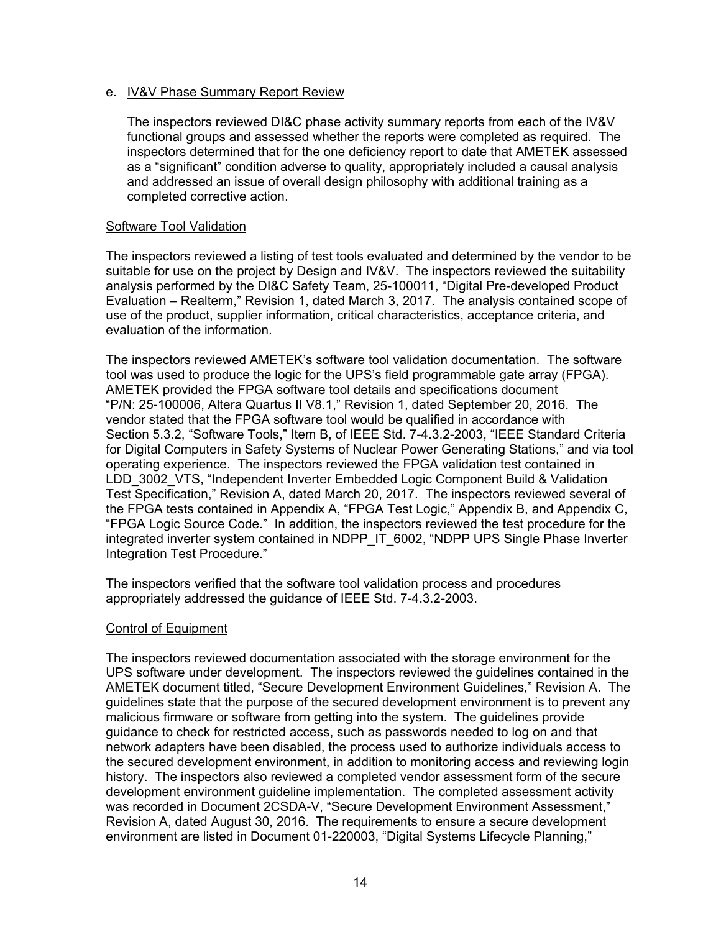#### e. IV&V Phase Summary Report Review

The inspectors reviewed DI&C phase activity summary reports from each of the IV&V functional groups and assessed whether the reports were completed as required. The inspectors determined that for the one deficiency report to date that AMETEK assessed as a "significant" condition adverse to quality, appropriately included a causal analysis and addressed an issue of overall design philosophy with additional training as a completed corrective action.

#### Software Tool Validation

The inspectors reviewed a listing of test tools evaluated and determined by the vendor to be suitable for use on the project by Design and IV&V. The inspectors reviewed the suitability analysis performed by the DI&C Safety Team, 25-100011, "Digital Pre-developed Product Evaluation – Realterm," Revision 1, dated March 3, 2017. The analysis contained scope of use of the product, supplier information, critical characteristics, acceptance criteria, and evaluation of the information.

The inspectors reviewed AMETEK's software tool validation documentation. The software tool was used to produce the logic for the UPS's field programmable gate array (FPGA). AMETEK provided the FPGA software tool details and specifications document "P/N: 25-100006, Altera Quartus II V8.1," Revision 1, dated September 20, 2016. The vendor stated that the FPGA software tool would be qualified in accordance with Section 5.3.2, "Software Tools," Item B, of IEEE Std. 7-4.3.2-2003, "IEEE Standard Criteria for Digital Computers in Safety Systems of Nuclear Power Generating Stations," and via tool operating experience. The inspectors reviewed the FPGA validation test contained in LDD\_3002\_VTS, "Independent Inverter Embedded Logic Component Build & Validation Test Specification," Revision A, dated March 20, 2017. The inspectors reviewed several of the FPGA tests contained in Appendix A, "FPGA Test Logic," Appendix B, and Appendix C, "FPGA Logic Source Code." In addition, the inspectors reviewed the test procedure for the integrated inverter system contained in NDPP\_IT\_6002, "NDPP UPS Single Phase Inverter Integration Test Procedure."

The inspectors verified that the software tool validation process and procedures appropriately addressed the guidance of IEEE Std. 7-4.3.2-2003.

## Control of Equipment

The inspectors reviewed documentation associated with the storage environment for the UPS software under development. The inspectors reviewed the guidelines contained in the AMETEK document titled, "Secure Development Environment Guidelines," Revision A. The guidelines state that the purpose of the secured development environment is to prevent any malicious firmware or software from getting into the system. The guidelines provide guidance to check for restricted access, such as passwords needed to log on and that network adapters have been disabled, the process used to authorize individuals access to the secured development environment, in addition to monitoring access and reviewing login history. The inspectors also reviewed a completed vendor assessment form of the secure development environment guideline implementation. The completed assessment activity was recorded in Document 2CSDA-V, "Secure Development Environment Assessment," Revision A, dated August 30, 2016. The requirements to ensure a secure development environment are listed in Document 01-220003, "Digital Systems Lifecycle Planning,"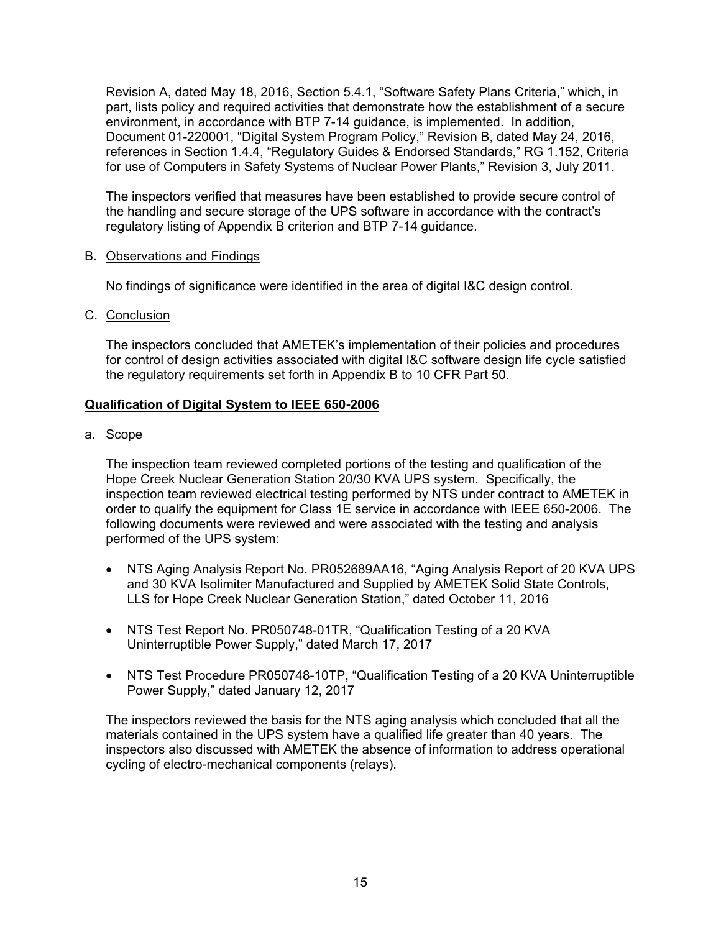Revision A, dated May 18, 2016, Section 5.4.1, "Software Safety Plans Criteria," which, in part, lists policy and required activities that demonstrate how the establishment of a secure environment, in accordance with BTP 7-14 guidance, is implemented. In addition, Document 01-220001, "Digital System Program Policy," Revision B, dated May 24, 2016, references in Section 1.4.4, "Regulatory Guides & Endorsed Standards," RG 1.152, Criteria for use of Computers in Safety Systems of Nuclear Power Plants," Revision 3, July 2011.

The inspectors verified that measures have been established to provide secure control of the handling and secure storage of the UPS software in accordance with the contract's regulatory listing of Appendix B criterion and BTP 7-14 guidance.

#### B. Observations and Findings

No findings of significance were identified in the area of digital I&C design control.

C. Conclusion

The inspectors concluded that AMETEK's implementation of their policies and procedures for control of design activities associated with digital I&C software design life cycle satisfied the regulatory requirements set forth in Appendix B to 10 CFR Part 50.

## **Qualification of Digital System to IEEE 650-2006**

a. Scope

The inspection team reviewed completed portions of the testing and qualification of the Hope Creek Nuclear Generation Station 20/30 KVA UPS system. Specifically, the inspection team reviewed electrical testing performed by NTS under contract to AMETEK in order to qualify the equipment for Class 1E service in accordance with IEEE 650-2006. The following documents were reviewed and were associated with the testing and analysis performed of the UPS system:

- NTS Aging Analysis Report No. PR052689AA16, "Aging Analysis Report of 20 KVA UPS and 30 KVA Isolimiter Manufactured and Supplied by AMETEK Solid State Controls, LLS for Hope Creek Nuclear Generation Station," dated October 11, 2016
- NTS Test Report No. PR050748-01TR, "Qualification Testing of a 20 KVA Uninterruptible Power Supply," dated March 17, 2017
- NTS Test Procedure PR050748-10TP, "Qualification Testing of a 20 KVA Uninterruptible Power Supply," dated January 12, 2017

The inspectors reviewed the basis for the NTS aging analysis which concluded that all the materials contained in the UPS system have a qualified life greater than 40 years. The inspectors also discussed with AMETEK the absence of information to address operational cycling of electro-mechanical components (relays).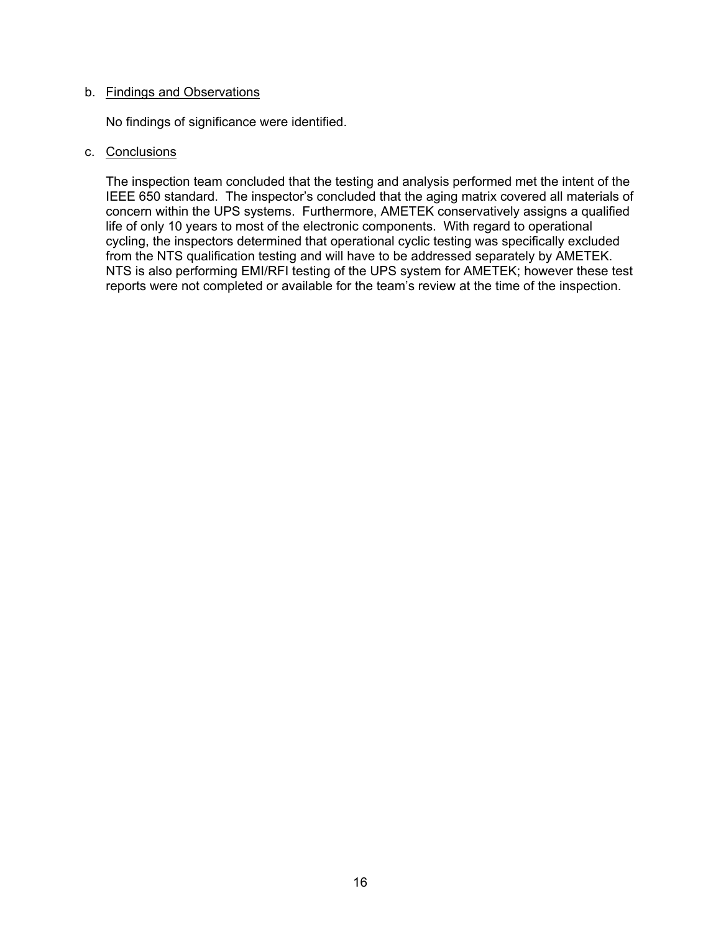# b. Findings and Observations

No findings of significance were identified.

#### c. Conclusions

The inspection team concluded that the testing and analysis performed met the intent of the IEEE 650 standard. The inspector's concluded that the aging matrix covered all materials of concern within the UPS systems. Furthermore, AMETEK conservatively assigns a qualified life of only 10 years to most of the electronic components. With regard to operational cycling, the inspectors determined that operational cyclic testing was specifically excluded from the NTS qualification testing and will have to be addressed separately by AMETEK. NTS is also performing EMI/RFI testing of the UPS system for AMETEK; however these test reports were not completed or available for the team's review at the time of the inspection.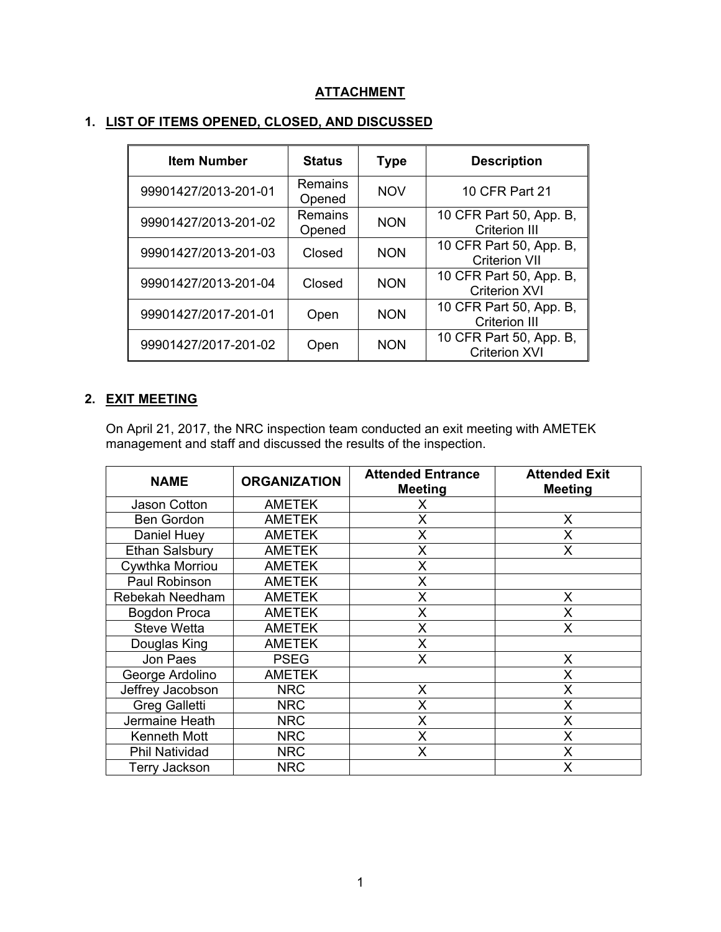# **ATTACHMENT**

| <b>Item Number</b>   | <b>Status</b>            | <b>Type</b> | <b>Description</b>                              |
|----------------------|--------------------------|-------------|-------------------------------------------------|
| 99901427/2013-201-01 | Remains<br>Opened        | <b>NOV</b>  | 10 CFR Part 21                                  |
| 99901427/2013-201-02 | <b>Remains</b><br>Opened | <b>NON</b>  | 10 CFR Part 50, App. B,<br><b>Criterion III</b> |
| 99901427/2013-201-03 | Closed                   | <b>NON</b>  | 10 CFR Part 50, App. B,<br><b>Criterion VII</b> |
| 99901427/2013-201-04 | Closed                   | <b>NON</b>  | 10 CFR Part 50, App. B,<br><b>Criterion XVI</b> |
| 99901427/2017-201-01 | Open                     | <b>NON</b>  | 10 CFR Part 50, App. B,<br><b>Criterion III</b> |
| 99901427/2017-201-02 | Open                     | <b>NON</b>  | 10 CFR Part 50, App. B,<br><b>Criterion XVI</b> |

# **1. LIST OF ITEMS OPENED, CLOSED, AND DISCUSSED**

# **2. EXIT MEETING**

On April 21, 2017, the NRC inspection team conducted an exit meeting with AMETEK management and staff and discussed the results of the inspection.

| <b>NAME</b>           | <b>ORGANIZATION</b> | <b>Attended Entrance</b><br><b>Meeting</b> | <b>Attended Exit</b><br><b>Meeting</b> |
|-----------------------|---------------------|--------------------------------------------|----------------------------------------|
| Jason Cotton          | <b>AMETEK</b>       | X                                          |                                        |
| <b>Ben Gordon</b>     | <b>AMETEK</b>       | X                                          | X                                      |
| Daniel Huey           | <b>AMETEK</b>       | X                                          | Χ                                      |
| <b>Ethan Salsbury</b> | <b>AMETEK</b>       | Χ                                          | х                                      |
| Cywthka Morriou       | <b>AMETEK</b>       | X                                          |                                        |
| Paul Robinson         | <b>AMETEK</b>       | X                                          |                                        |
| Rebekah Needham       | <b>AMETEK</b>       | X                                          | X                                      |
| <b>Bogdon Proca</b>   | <b>AMETEK</b>       | X                                          | X                                      |
| <b>Steve Wetta</b>    | <b>AMETEK</b>       | Χ                                          | X                                      |
| Douglas King          | <b>AMETEK</b>       | X                                          |                                        |
| Jon Paes              | <b>PSEG</b>         | X                                          | X                                      |
| George Ardolino       | <b>AMETEK</b>       |                                            | X                                      |
| Jeffrey Jacobson      | <b>NRC</b>          | X                                          | X                                      |
| <b>Greg Galletti</b>  | <b>NRC</b>          | X                                          | X                                      |
| Jermaine Heath        | <b>NRC</b>          | X                                          | X                                      |
| Kenneth Mott          | <b>NRC</b>          | Χ                                          | X                                      |
| Phil Natividad        | <b>NRC</b>          | X                                          | X                                      |
| Terry Jackson         | <b>NRC</b>          |                                            | Х                                      |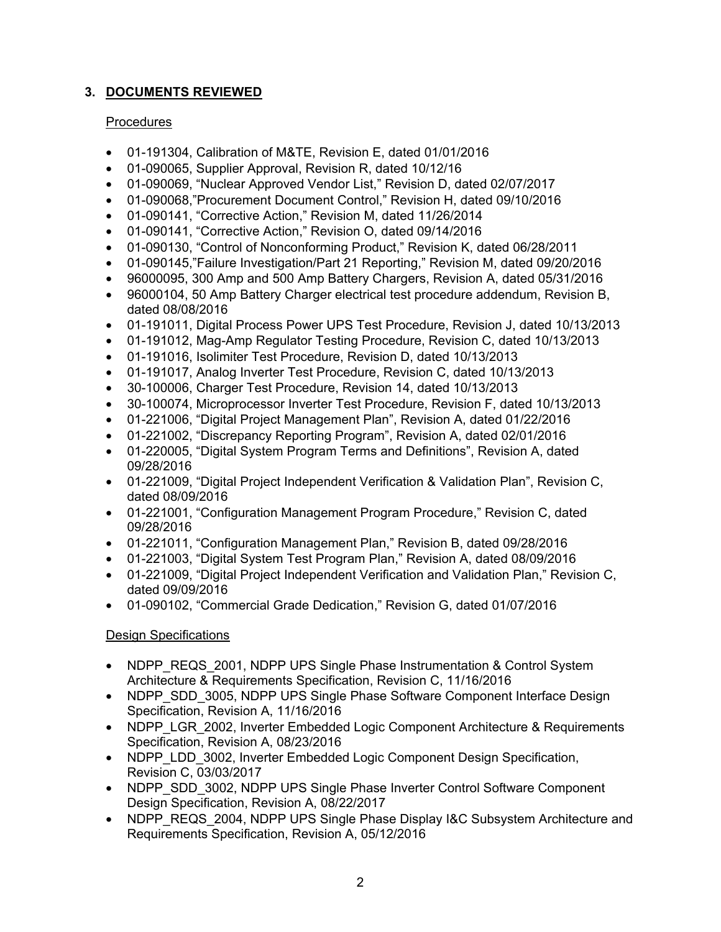# **3. DOCUMENTS REVIEWED**

# **Procedures**

- 01-191304, Calibration of M&TE, Revision E, dated 01/01/2016
- 01-090065, Supplier Approval, Revision R, dated 10/12/16
- 01-090069, "Nuclear Approved Vendor List," Revision D, dated 02/07/2017
- 01-090068,"Procurement Document Control," Revision H, dated 09/10/2016
- 01-090141, "Corrective Action," Revision M, dated 11/26/2014
- 01-090141, "Corrective Action," Revision O, dated 09/14/2016
- 01-090130, "Control of Nonconforming Product," Revision K, dated 06/28/2011
- 01-090145,"Failure Investigation/Part 21 Reporting," Revision M, dated 09/20/2016
- 96000095, 300 Amp and 500 Amp Battery Chargers, Revision A, dated 05/31/2016
- 96000104, 50 Amp Battery Charger electrical test procedure addendum, Revision B. dated 08/08/2016
- 01-191011, Digital Process Power UPS Test Procedure, Revision J, dated 10/13/2013
- 01-191012, Mag-Amp Regulator Testing Procedure, Revision C, dated 10/13/2013
- 01-191016, Isolimiter Test Procedure, Revision D, dated 10/13/2013
- 01-191017, Analog Inverter Test Procedure, Revision C, dated 10/13/2013
- 30-100006, Charger Test Procedure, Revision 14, dated 10/13/2013
- 30-100074, Microprocessor Inverter Test Procedure, Revision F, dated 10/13/2013
- 01-221006, "Digital Project Management Plan", Revision A, dated 01/22/2016
- 01-221002, "Discrepancy Reporting Program", Revision A, dated 02/01/2016
- 01-220005, "Digital System Program Terms and Definitions", Revision A, dated 09/28/2016
- 01-221009, "Digital Project Independent Verification & Validation Plan", Revision C, dated 08/09/2016
- 01-221001, "Configuration Management Program Procedure," Revision C, dated 09/28/2016
- 01-221011, "Configuration Management Plan," Revision B, dated 09/28/2016
- 01-221003, "Digital System Test Program Plan," Revision A, dated 08/09/2016
- 01-221009, "Digital Project Independent Verification and Validation Plan," Revision C. dated 09/09/2016
- 01-090102, "Commercial Grade Dedication," Revision G, dated 01/07/2016

# Design Specifications

- NDPP\_REQS\_2001, NDPP UPS Single Phase Instrumentation & Control System Architecture & Requirements Specification, Revision C, 11/16/2016
- NDPP\_SDD\_3005, NDPP UPS Single Phase Software Component Interface Design Specification, Revision A, 11/16/2016
- NDPP\_LGR\_2002, Inverter Embedded Logic Component Architecture & Requirements Specification, Revision A, 08/23/2016
- NDPP\_LDD\_3002, Inverter Embedded Logic Component Design Specification, Revision C, 03/03/2017
- NDPP\_SDD\_3002, NDPP UPS Single Phase Inverter Control Software Component Design Specification, Revision A, 08/22/2017
- NDPP\_REQS\_2004, NDPP UPS Single Phase Display I&C Subsystem Architecture and Requirements Specification, Revision A, 05/12/2016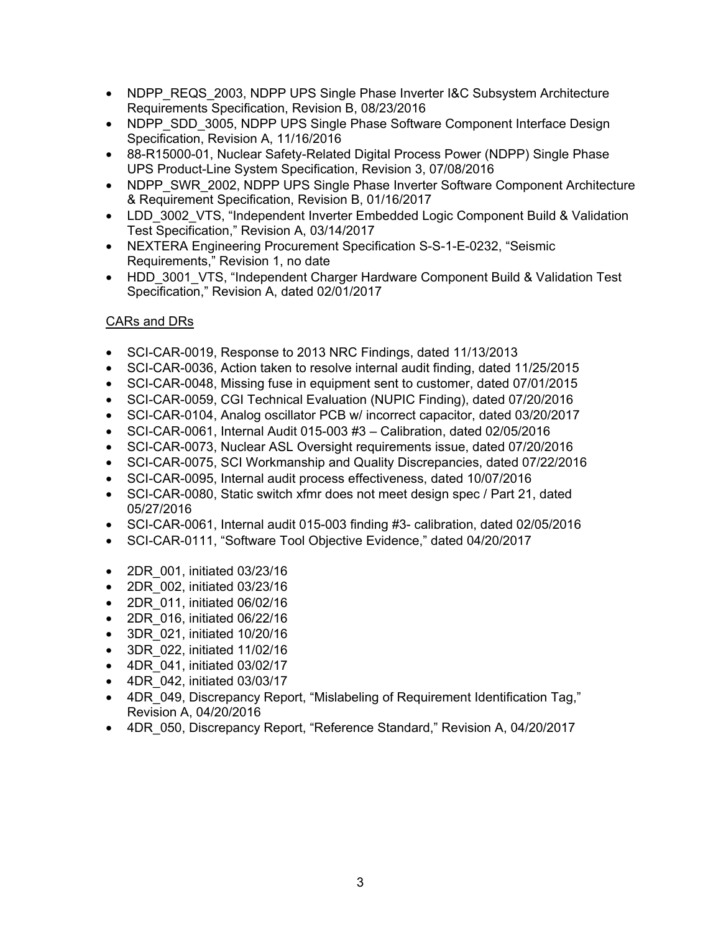- NDPP\_REQS\_2003, NDPP UPS Single Phase Inverter I&C Subsystem Architecture Requirements Specification, Revision B, 08/23/2016
- NDPP\_SDD\_3005, NDPP UPS Single Phase Software Component Interface Design Specification, Revision A, 11/16/2016
- 88-R15000-01, Nuclear Safety-Related Digital Process Power (NDPP) Single Phase UPS Product-Line System Specification, Revision 3, 07/08/2016
- NDPP\_SWR\_2002, NDPP UPS Single Phase Inverter Software Component Architecture & Requirement Specification, Revision B, 01/16/2017
- LDD 3002 VTS, "Independent Inverter Embedded Logic Component Build & Validation Test Specification," Revision A, 03/14/2017
- NEXTERA Engineering Procurement Specification S-S-1-E-0232, "Seismic Requirements," Revision 1, no date
- HDD 3001 VTS, "Independent Charger Hardware Component Build & Validation Test Specification," Revision A, dated 02/01/2017

# CARs and DRs

- SCI-CAR-0019, Response to 2013 NRC Findings, dated 11/13/2013
- SCI-CAR-0036, Action taken to resolve internal audit finding, dated 11/25/2015
- SCI-CAR-0048, Missing fuse in equipment sent to customer, dated 07/01/2015
- SCI-CAR-0059, CGI Technical Evaluation (NUPIC Finding), dated 07/20/2016
- SCI-CAR-0104, Analog oscillator PCB w/ incorrect capacitor, dated 03/20/2017
- SCI-CAR-0061, Internal Audit 015-003 #3 Calibration, dated 02/05/2016
- SCI-CAR-0073, Nuclear ASL Oversight requirements issue, dated 07/20/2016
- SCI-CAR-0075, SCI Workmanship and Quality Discrepancies, dated 07/22/2016
- SCI-CAR-0095, Internal audit process effectiveness, dated 10/07/2016
- SCI-CAR-0080, Static switch xfmr does not meet design spec / Part 21, dated 05/27/2016
- SCI-CAR-0061, Internal audit 015-003 finding #3- calibration, dated 02/05/2016
- SCI-CAR-0111, "Software Tool Objective Evidence," dated 04/20/2017
- 2DR\_001, initiated 03/23/16
- 2DR\_002, initiated 03/23/16
- 2DR\_011, initiated 06/02/16
- 2DR\_016, initiated 06/22/16
- 3DR\_021, initiated 10/20/16
- 3DR\_022, initiated 11/02/16
- 4DR\_041, initiated 03/02/17
- 4DR\_042, initiated 03/03/17
- 4DR 049, Discrepancy Report, "Mislabeling of Requirement Identification Tag," Revision A, 04/20/2016
- 4DR\_050, Discrepancy Report, "Reference Standard," Revision A, 04/20/2017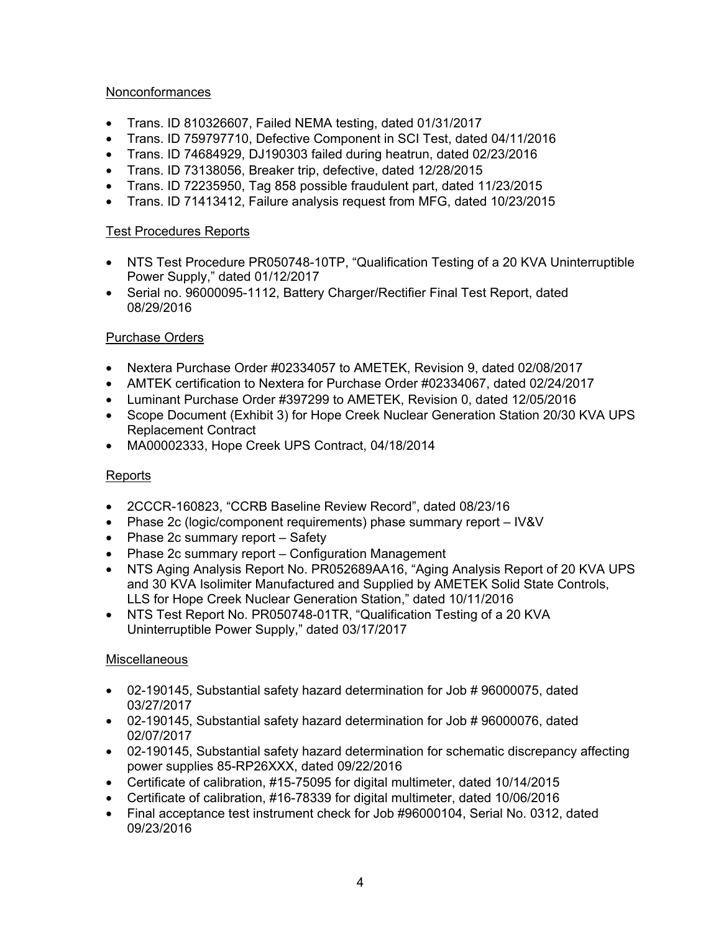## Nonconformances

- Trans. ID 810326607, Failed NEMA testing, dated 01/31/2017
- Trans. ID 759797710, Defective Component in SCI Test, dated 04/11/2016
- Trans. ID 74684929, DJ190303 failed during heatrun, dated 02/23/2016
- Trans. ID 73138056, Breaker trip, defective, dated 12/28/2015
- Trans. ID 72235950, Tag 858 possible fraudulent part, dated 11/23/2015
- Trans. ID 71413412, Failure analysis request from MFG, dated 10/23/2015

# Test Procedures Reports

- NTS Test Procedure PR050748-10TP, "Qualification Testing of a 20 KVA Uninterruptible Power Supply," dated 01/12/2017
- Serial no. 96000095-1112, Battery Charger/Rectifier Final Test Report, dated 08/29/2016

# Purchase Orders

- Nextera Purchase Order #02334057 to AMETEK, Revision 9, dated 02/08/2017
- AMTEK certification to Nextera for Purchase Order #02334067, dated 02/24/2017
- Luminant Purchase Order #397299 to AMETEK, Revision 0, dated 12/05/2016
- Scope Document (Exhibit 3) for Hope Creek Nuclear Generation Station 20/30 KVA UPS Replacement Contract
- MA00002333, Hope Creek UPS Contract, 04/18/2014

# Reports

- 2CCCR-160823, "CCRB Baseline Review Record", dated 08/23/16
- Phase 2c (logic/component requirements) phase summary report IV&V
- Phase 2c summary report Safety
- Phase 2c summary report Configuration Management
- NTS Aging Analysis Report No. PR052689AA16, "Aging Analysis Report of 20 KVA UPS and 30 KVA Isolimiter Manufactured and Supplied by AMETEK Solid State Controls, LLS for Hope Creek Nuclear Generation Station," dated 10/11/2016
- NTS Test Report No. PR050748-01TR, "Qualification Testing of a 20 KVA Uninterruptible Power Supply," dated 03/17/2017

# **Miscellaneous**

- 02-190145, Substantial safety hazard determination for Job # 96000075, dated 03/27/2017
- 02-190145, Substantial safety hazard determination for Job # 96000076, dated 02/07/2017
- 02-190145, Substantial safety hazard determination for schematic discrepancy affecting power supplies 85-RP26XXX, dated 09/22/2016
- Certificate of calibration, #15-75095 for digital multimeter, dated 10/14/2015
- Certificate of calibration, #16-78339 for digital multimeter, dated 10/06/2016
- Final acceptance test instrument check for Job #96000104, Serial No. 0312, dated 09/23/2016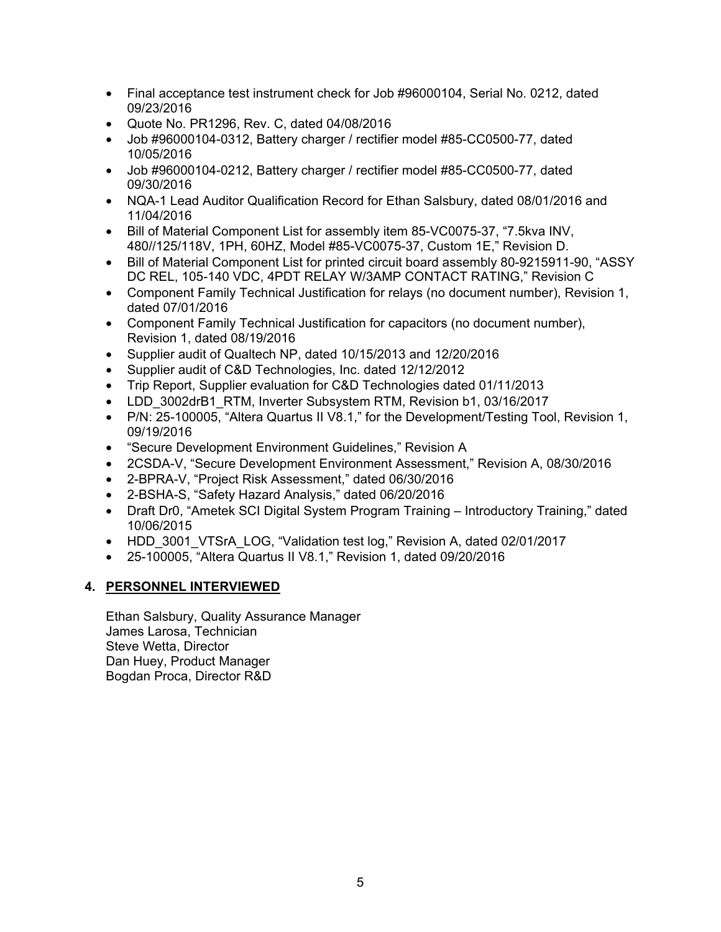- Final acceptance test instrument check for Job #96000104, Serial No. 0212, dated 09/23/2016
- Quote No. PR1296, Rev. C, dated 04/08/2016
- Job #96000104-0312, Battery charger / rectifier model #85-CC0500-77, dated 10/05/2016
- Job #96000104-0212, Battery charger / rectifier model #85-CC0500-77, dated 09/30/2016
- NQA-1 Lead Auditor Qualification Record for Ethan Salsbury, dated 08/01/2016 and 11/04/2016
- Bill of Material Component List for assembly item 85-VC0075-37, "7.5kva INV, 480//125/118V, 1PH, 60HZ, Model #85-VC0075-37, Custom 1E," Revision D.
- Bill of Material Component List for printed circuit board assembly 80-9215911-90, "ASSY DC REL, 105-140 VDC, 4PDT RELAY W/3AMP CONTACT RATING," Revision C
- Component Family Technical Justification for relays (no document number), Revision 1, dated 07/01/2016
- Component Family Technical Justification for capacitors (no document number), Revision 1, dated 08/19/2016
- Supplier audit of Qualtech NP, dated 10/15/2013 and 12/20/2016
- Supplier audit of C&D Technologies, Inc. dated 12/12/2012
- Trip Report, Supplier evaluation for C&D Technologies dated 01/11/2013
- LDD\_3002drB1\_RTM, Inverter Subsystem RTM, Revision b1, 03/16/2017
- P/N: 25-100005, "Altera Quartus II V8.1," for the Development/Testing Tool, Revision 1, 09/19/2016
- "Secure Development Environment Guidelines," Revision A
- 2CSDA-V, "Secure Development Environment Assessment," Revision A, 08/30/2016
- 2-BPRA-V, "Project Risk Assessment," dated 06/30/2016
- 2-BSHA-S, "Safety Hazard Analysis," dated 06/20/2016
- Draft Dr0, "Ametek SCI Digital System Program Training Introductory Training," dated 10/06/2015
- HDD 3001 VTSrA LOG, "Validation test log," Revision A, dated 02/01/2017
- 25-100005, "Altera Quartus II V8.1," Revision 1, dated 09/20/2016

## **4. PERSONNEL INTERVIEWED**

Ethan Salsbury, Quality Assurance Manager James Larosa, Technician Steve Wetta, Director Dan Huey, Product Manager Bogdan Proca, Director R&D